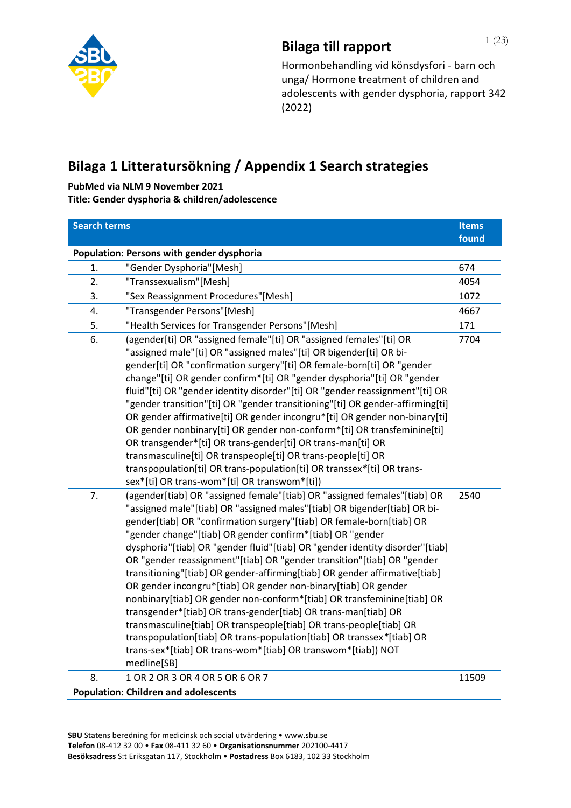

# **Bilaga till rapport** 1 (23)

Hormonbehandling vid könsdysfori - barn och unga/ Hormone treatment of children and adolescents with gender dysphoria, rapport 342 (2022)

## **Bilaga 1 Litteratursökning / Appendix 1 Search strategies**

**PubMed via NLM 9 November 2021**

**Title: Gender dysphoria & children/adolescence** 

| <b>Search terms</b> |                                                                                                                                                                                                                                                                                                                                                                                                                                                                                                                                                                                                                                                                                                                                                                                                                                                                                                                                                                               | <b>Items</b> |
|---------------------|-------------------------------------------------------------------------------------------------------------------------------------------------------------------------------------------------------------------------------------------------------------------------------------------------------------------------------------------------------------------------------------------------------------------------------------------------------------------------------------------------------------------------------------------------------------------------------------------------------------------------------------------------------------------------------------------------------------------------------------------------------------------------------------------------------------------------------------------------------------------------------------------------------------------------------------------------------------------------------|--------------|
|                     |                                                                                                                                                                                                                                                                                                                                                                                                                                                                                                                                                                                                                                                                                                                                                                                                                                                                                                                                                                               | found        |
|                     | Population: Persons with gender dysphoria                                                                                                                                                                                                                                                                                                                                                                                                                                                                                                                                                                                                                                                                                                                                                                                                                                                                                                                                     |              |
| 1.                  | "Gender Dysphoria"[Mesh]                                                                                                                                                                                                                                                                                                                                                                                                                                                                                                                                                                                                                                                                                                                                                                                                                                                                                                                                                      | 674          |
| 2.                  | "Transsexualism"[Mesh]                                                                                                                                                                                                                                                                                                                                                                                                                                                                                                                                                                                                                                                                                                                                                                                                                                                                                                                                                        | 4054         |
| 3.                  | "Sex Reassignment Procedures"[Mesh]                                                                                                                                                                                                                                                                                                                                                                                                                                                                                                                                                                                                                                                                                                                                                                                                                                                                                                                                           | 1072         |
| 4.                  | "Transgender Persons"[Mesh]                                                                                                                                                                                                                                                                                                                                                                                                                                                                                                                                                                                                                                                                                                                                                                                                                                                                                                                                                   | 4667         |
| 5.                  | "Health Services for Transgender Persons"[Mesh]                                                                                                                                                                                                                                                                                                                                                                                                                                                                                                                                                                                                                                                                                                                                                                                                                                                                                                                               | 171          |
| 6.                  | (agender[ti] OR "assigned female"[ti] OR "assigned females"[ti] OR<br>"assigned male"[ti] OR "assigned males"[ti] OR bigender[ti] OR bi-<br>gender[ti] OR "confirmation surgery"[ti] OR female-born[ti] OR "gender<br>change"[ti] OR gender confirm*[ti] OR "gender dysphoria"[ti] OR "gender<br>fluid"[ti] OR "gender identity disorder"[ti] OR "gender reassignment"[ti] OR<br>"gender transition"[ti] OR "gender transitioning"[ti] OR gender-affirming[ti]<br>OR gender affirmative[ti] OR gender incongru*[ti] OR gender non-binary[ti]<br>OR gender nonbinary[ti] OR gender non-conform*[ti] OR transfeminine[ti]<br>OR transgender*[ti] OR trans-gender[ti] OR trans-man[ti] OR<br>transmasculine[ti] OR transpeople[ti] OR trans-people[ti] OR<br>transpopulation[ti] OR trans-population[ti] OR transsex*[ti] OR trans-<br>sex*[ti] OR trans-wom*[ti] OR transwom*[ti])                                                                                              | 7704         |
| 7.                  | (agender[tiab] OR "assigned female"[tiab] OR "assigned females"[tiab] OR<br>"assigned male"[tiab] OR "assigned males"[tiab] OR bigender[tiab] OR bi-<br>gender[tiab] OR "confirmation surgery"[tiab] OR female-born[tiab] OR<br>"gender change"[tiab] OR gender confirm*[tiab] OR "gender<br>dysphoria"[tiab] OR "gender fluid"[tiab] OR "gender identity disorder"[tiab]<br>OR "gender reassignment"[tiab] OR "gender transition"[tiab] OR "gender<br>transitioning"[tiab] OR gender-affirming[tiab] OR gender affirmative[tiab]<br>OR gender incongru*[tiab] OR gender non-binary[tiab] OR gender<br>nonbinary[tiab] OR gender non-conform*[tiab] OR transfeminine[tiab] OR<br>transgender*[tiab] OR trans-gender[tiab] OR trans-man[tiab] OR<br>transmasculine[tiab] OR transpeople[tiab] OR trans-people[tiab] OR<br>transpopulation[tiab] OR trans-population[tiab] OR transsex*[tiab] OR<br>trans-sex*[tiab] OR trans-wom*[tiab] OR transwom*[tiab]) NOT<br>medline[SB] | 2540         |
| 8.                  | 1 OR 2 OR 3 OR 4 OR 5 OR 6 OR 7                                                                                                                                                                                                                                                                                                                                                                                                                                                                                                                                                                                                                                                                                                                                                                                                                                                                                                                                               | 11509        |
|                     | <b>Population: Children and adolescents</b>                                                                                                                                                                                                                                                                                                                                                                                                                                                                                                                                                                                                                                                                                                                                                                                                                                                                                                                                   |              |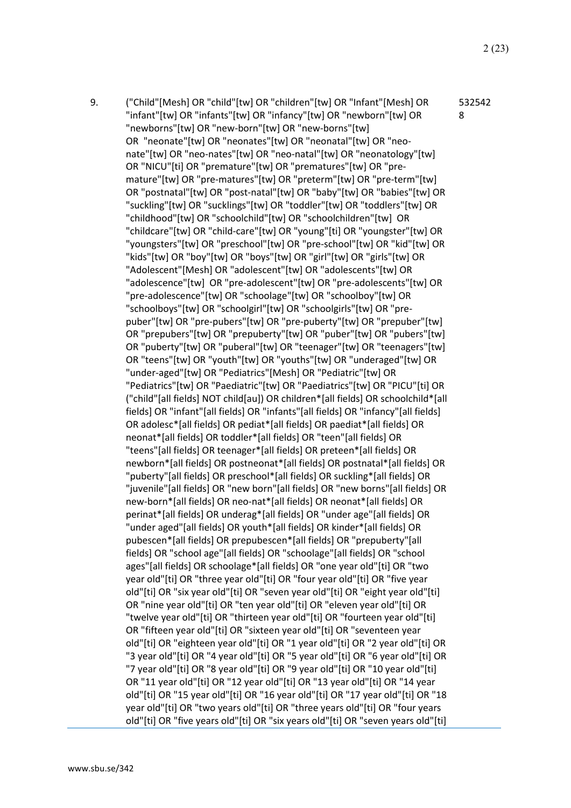9. ("Child"[Mesh] OR "child"[tw] OR "children"[tw] OR "Infant"[Mesh] OR "infant"[tw] OR "infants"[tw] OR "infancy"[tw] OR "newborn"[tw] OR "newborns"[tw] OR "new-born"[tw] OR "new-borns"[tw] OR "neonate"[tw] OR "neonates"[tw] OR "neonatal"[tw] OR "neonate"[tw] OR "neo-nates"[tw] OR "neo-natal"[tw] OR "neonatology"[tw] OR "NICU"[ti] OR "premature"[tw] OR "prematures"[tw] OR "premature"[tw] OR "pre-matures"[tw] OR "preterm"[tw] OR "pre-term"[tw] OR "postnatal"[tw] OR "post-natal"[tw] OR "baby"[tw] OR "babies"[tw] OR "suckling"[tw] OR "sucklings"[tw] OR "toddler"[tw] OR "toddlers"[tw] OR "childhood"[tw] OR "schoolchild"[tw] OR "schoolchildren"[tw] OR "childcare"[tw] OR "child-care"[tw] OR "young"[ti] OR "youngster"[tw] OR "youngsters"[tw] OR "preschool"[tw] OR "pre-school"[tw] OR "kid"[tw] OR "kids"[tw] OR "boy"[tw] OR "boys"[tw] OR "girl"[tw] OR "girls"[tw] OR "Adolescent"[Mesh] OR "adolescent"[tw] OR "adolescents"[tw] OR "adolescence"[tw] OR "pre-adolescent"[tw] OR "pre-adolescents"[tw] OR "pre-adolescence"[tw] OR "schoolage"[tw] OR "schoolboy"[tw] OR "schoolboys"[tw] OR "schoolgirl"[tw] OR "schoolgirls"[tw] OR "prepuber"[tw] OR "pre-pubers"[tw] OR "pre-puberty"[tw] OR "prepuber"[tw] OR "prepubers"[tw] OR "prepuberty"[tw] OR "puber"[tw] OR "pubers"[tw] OR "puberty"[tw] OR "puberal"[tw] OR "teenager"[tw] OR "teenagers"[tw] OR "teens"[tw] OR "youth"[tw] OR "youths"[tw] OR "underaged"[tw] OR "under-aged"[tw] OR "Pediatrics"[Mesh] OR "Pediatric"[tw] OR "Pediatrics"[tw] OR "Paediatric"[tw] OR "Paediatrics"[tw] OR "PICU"[ti] OR ("child"[all fields] NOT child[au]) OR children\*[all fields] OR schoolchild\*[all fields] OR "infant"[all fields] OR "infants"[all fields] OR "infancy"[all fields] OR adolesc\*[all fields] OR pediat\*[all fields] OR paediat\*[all fields] OR neonat\*[all fields] OR toddler\*[all fields] OR "teen"[all fields] OR "teens"[all fields] OR teenager\*[all fields] OR preteen\*[all fields] OR newborn\*[all fields] OR postneonat\*[all fields] OR postnatal\*[all fields] OR "puberty"[all fields] OR preschool\*[all fields] OR suckling\*[all fields] OR "juvenile"[all fields] OR "new born"[all fields] OR "new borns"[all fields] OR new-born\*[all fields] OR neo-nat\*[all fields] OR neonat\*[all fields] OR perinat\*[all fields] OR underag\*[all fields] OR "under age"[all fields] OR "under aged"[all fields] OR youth\*[all fields] OR kinder\*[all fields] OR pubescen\*[all fields] OR prepubescen\*[all fields] OR "prepuberty"[all fields] OR "school age"[all fields] OR "schoolage"[all fields] OR "school ages"[all fields] OR schoolage\*[all fields] OR "one year old"[ti] OR "two year old"[ti] OR "three year old"[ti] OR "four year old"[ti] OR "five year old"[ti] OR "six year old"[ti] OR "seven year old"[ti] OR "eight year old"[ti] OR "nine year old"[ti] OR "ten year old"[ti] OR "eleven year old"[ti] OR "twelve year old"[ti] OR "thirteen year old"[ti] OR "fourteen year old"[ti] OR "fifteen year old"[ti] OR "sixteen year old"[ti] OR "seventeen year old"[ti] OR "eighteen year old"[ti] OR "1 year old"[ti] OR "2 year old"[ti] OR "3 year old"[ti] OR "4 year old"[ti] OR "5 year old"[ti] OR "6 year old"[ti] OR "7 year old"[ti] OR "8 year old"[ti] OR "9 year old"[ti] OR "10 year old"[ti] OR "11 year old"[ti] OR "12 year old"[ti] OR "13 year old"[ti] OR "14 year old"[ti] OR "15 year old"[ti] OR "16 year old"[ti] OR "17 year old"[ti] OR "18 year old"[ti] OR "two years old"[ti] OR "three years old"[ti] OR "four years old"[ti] OR "five years old"[ti] OR "six years old"[ti] OR "seven years old"[ti] 532542 8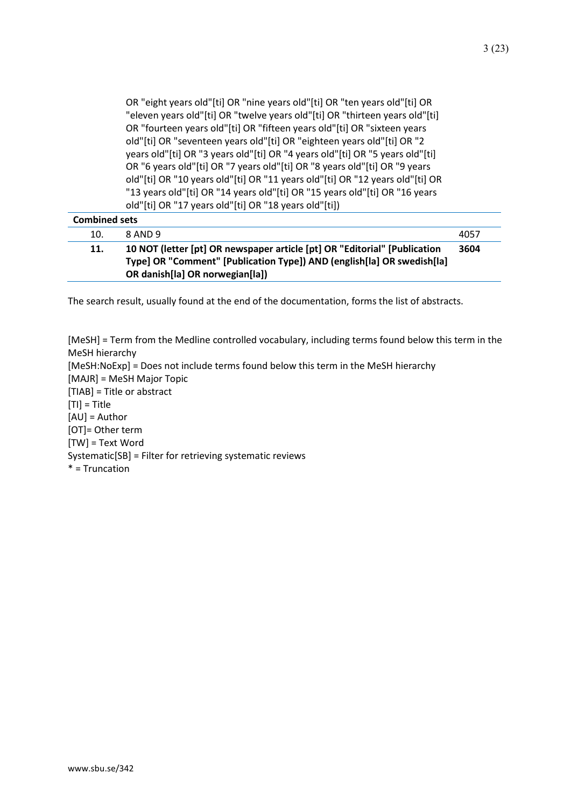OR "eight years old"[ti] OR "nine years old"[ti] OR "ten years old"[ti] OR "eleven years old"[ti] OR "twelve years old"[ti] OR "thirteen years old"[ti] OR "fourteen years old"[ti] OR "fifteen years old"[ti] OR "sixteen years old"[ti] OR "seventeen years old"[ti] OR "eighteen years old"[ti] OR "2 years old"[ti] OR "3 years old"[ti] OR "4 years old"[ti] OR "5 years old"[ti] OR "6 years old"[ti] OR "7 years old"[ti] OR "8 years old"[ti] OR "9 years old"[ti] OR "10 years old"[ti] OR "11 years old"[ti] OR "12 years old"[ti] OR "13 years old"[ti] OR "14 years old"[ti] OR "15 years old"[ti] OR "16 years old"[ti] OR "17 years old"[ti] OR "18 years old"[ti])

| <b>Combined sets</b> |                                                                                                                                                                                        |      |
|----------------------|----------------------------------------------------------------------------------------------------------------------------------------------------------------------------------------|------|
| 10.                  | 8 AND 9                                                                                                                                                                                | 4057 |
| 11.                  | 10 NOT (letter [pt] OR newspaper article [pt] OR "Editorial" [Publication<br>Type] OR "Comment" [Publication Type]) AND (english[la] OR swedish[la]<br>OR danish[la] OR norwegian[la]) | 3604 |

The search result, usually found at the end of the documentation, forms the list of abstracts.

[MeSH] = Term from the Medline controlled vocabulary, including terms found below this term in the MeSH hierarchy [MeSH:NoExp] = Does not include terms found below this term in the MeSH hierarchy [MAJR] = MeSH Major Topic [TIAB] = Title or abstract  $[TI] = Title$ [AU] = Author [OT]= Other term [TW] = Text Word Systematic[SB] = Filter for retrieving systematic reviews \* = Truncation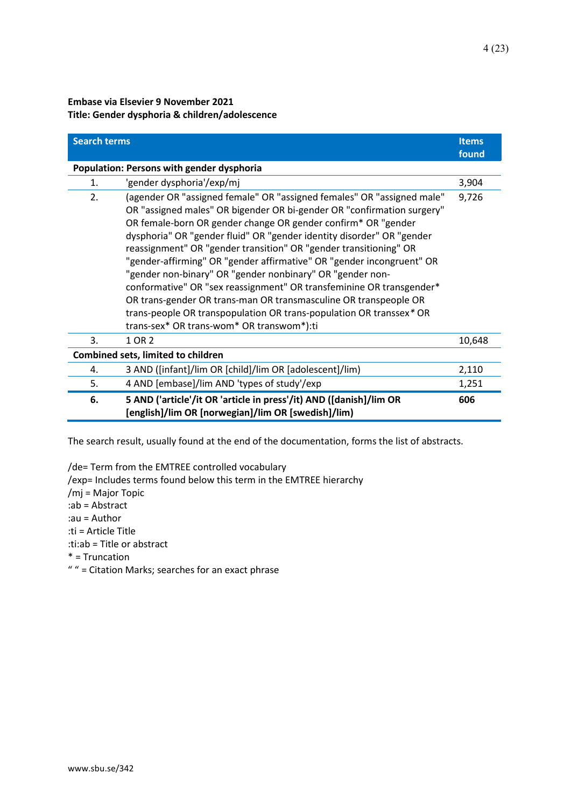### **Embase via Elsevier 9 November 2021 Title: Gender dysphoria & children/adolescence**

| <b>Search terms</b> |                                                                                                                                                                                                                                                                                                                                                                                                                                                                                                                                                                                                                                                                                                                                                                       | <b>Items</b><br>found |
|---------------------|-----------------------------------------------------------------------------------------------------------------------------------------------------------------------------------------------------------------------------------------------------------------------------------------------------------------------------------------------------------------------------------------------------------------------------------------------------------------------------------------------------------------------------------------------------------------------------------------------------------------------------------------------------------------------------------------------------------------------------------------------------------------------|-----------------------|
|                     | Population: Persons with gender dysphoria                                                                                                                                                                                                                                                                                                                                                                                                                                                                                                                                                                                                                                                                                                                             |                       |
| 1.                  | 'gender dysphoria'/exp/mj                                                                                                                                                                                                                                                                                                                                                                                                                                                                                                                                                                                                                                                                                                                                             | 3,904                 |
| 2.                  | (agender OR "assigned female" OR "assigned females" OR "assigned male"<br>OR "assigned males" OR bigender OR bi-gender OR "confirmation surgery"<br>OR female-born OR gender change OR gender confirm* OR "gender<br>dysphoria" OR "gender fluid" OR "gender identity disorder" OR "gender<br>reassignment" OR "gender transition" OR "gender transitioning" OR<br>"gender-affirming" OR "gender affirmative" OR "gender incongruent" OR<br>"gender non-binary" OR "gender nonbinary" OR "gender non-<br>conformative" OR "sex reassignment" OR transfeminine OR transgender*<br>OR trans-gender OR trans-man OR transmasculine OR transpeople OR<br>trans-people OR transpopulation OR trans-population OR transsex* OR<br>trans-sex* OR trans-wom* OR transwom*):ti | 9,726                 |
| 3.                  | 1 OR 2                                                                                                                                                                                                                                                                                                                                                                                                                                                                                                                                                                                                                                                                                                                                                                | 10,648                |
|                     | <b>Combined sets, limited to children</b>                                                                                                                                                                                                                                                                                                                                                                                                                                                                                                                                                                                                                                                                                                                             |                       |
| 4.                  | 3 AND ([infant]/lim OR [child]/lim OR [adolescent]/lim)                                                                                                                                                                                                                                                                                                                                                                                                                                                                                                                                                                                                                                                                                                               | 2,110                 |
| 5.                  | 4 AND [embase]/lim AND 'types of study'/exp                                                                                                                                                                                                                                                                                                                                                                                                                                                                                                                                                                                                                                                                                                                           | 1,251                 |
| 6.                  | 5 AND ('article'/it OR 'article in press'/it) AND ([danish]/lim OR<br>[english]/lim OR [norwegian]/lim OR [swedish]/lim)                                                                                                                                                                                                                                                                                                                                                                                                                                                                                                                                                                                                                                              | 606                   |

The search result, usually found at the end of the documentation, forms the list of abstracts.

/de= Term from the EMTREE controlled vocabulary

/exp= Includes terms found below this term in the EMTREE hierarchy

/mj = Major Topic

:ab = Abstract

:au = Author

:ti = Article Title

:ti:ab = Title or abstract

\* = Truncation

" " = Citation Marks; searches for an exact phrase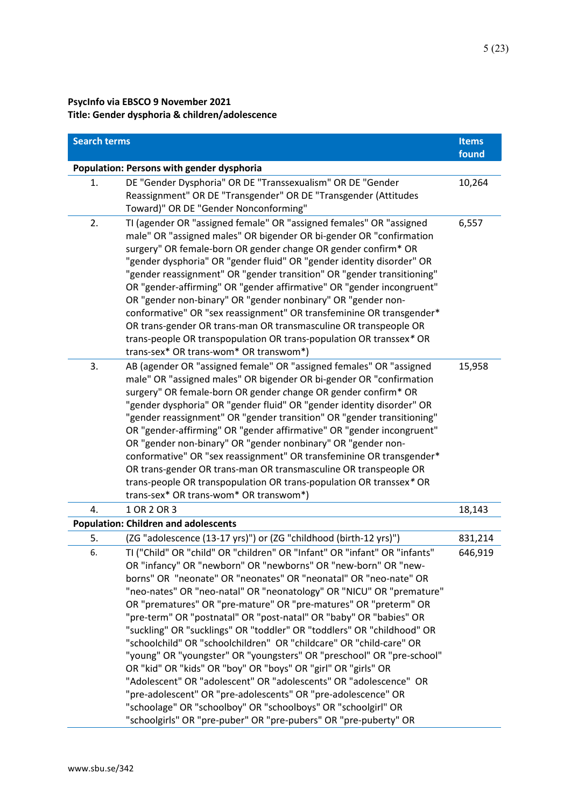## **PsycInfo via EBSCO 9 November 2021 Title: Gender dysphoria & children/adolescence**

| <b>Search terms</b> |                                                                                                                                                                                                                                                                                                                                                                                                                                                                                                                                                                                                                                                                                                                                                                                                                                                                                                                                                                                                         | <b>Items</b><br>found |
|---------------------|---------------------------------------------------------------------------------------------------------------------------------------------------------------------------------------------------------------------------------------------------------------------------------------------------------------------------------------------------------------------------------------------------------------------------------------------------------------------------------------------------------------------------------------------------------------------------------------------------------------------------------------------------------------------------------------------------------------------------------------------------------------------------------------------------------------------------------------------------------------------------------------------------------------------------------------------------------------------------------------------------------|-----------------------|
|                     | Population: Persons with gender dysphoria                                                                                                                                                                                                                                                                                                                                                                                                                                                                                                                                                                                                                                                                                                                                                                                                                                                                                                                                                               |                       |
| 1.                  | DE "Gender Dysphoria" OR DE "Transsexualism" OR DE "Gender<br>Reassignment" OR DE "Transgender" OR DE "Transgender (Attitudes<br>Toward)" OR DE "Gender Nonconforming"                                                                                                                                                                                                                                                                                                                                                                                                                                                                                                                                                                                                                                                                                                                                                                                                                                  | 10,264                |
| 2.                  | TI (agender OR "assigned female" OR "assigned females" OR "assigned<br>male" OR "assigned males" OR bigender OR bi-gender OR "confirmation<br>surgery" OR female-born OR gender change OR gender confirm* OR<br>"gender dysphoria" OR "gender fluid" OR "gender identity disorder" OR<br>"gender reassignment" OR "gender transition" OR "gender transitioning"<br>OR "gender-affirming" OR "gender affirmative" OR "gender incongruent"<br>OR "gender non-binary" OR "gender nonbinary" OR "gender non-<br>conformative" OR "sex reassignment" OR transfeminine OR transgender*<br>OR trans-gender OR trans-man OR transmasculine OR transpeople OR<br>trans-people OR transpopulation OR trans-population OR transsex* OR<br>trans-sex* OR trans-wom* OR transwom*)                                                                                                                                                                                                                                   | 6,557                 |
| 3.                  | AB (agender OR "assigned female" OR "assigned females" OR "assigned<br>male" OR "assigned males" OR bigender OR bi-gender OR "confirmation<br>surgery" OR female-born OR gender change OR gender confirm* OR<br>"gender dysphoria" OR "gender fluid" OR "gender identity disorder" OR<br>"gender reassignment" OR "gender transition" OR "gender transitioning"<br>OR "gender-affirming" OR "gender affirmative" OR "gender incongruent"<br>OR "gender non-binary" OR "gender nonbinary" OR "gender non-<br>conformative" OR "sex reassignment" OR transfeminine OR transgender*<br>OR trans-gender OR trans-man OR transmasculine OR transpeople OR<br>trans-people OR transpopulation OR trans-population OR transsex* OR<br>trans-sex* OR trans-wom* OR transwom*)                                                                                                                                                                                                                                   | 15,958                |
| 4.                  | 1 OR 2 OR 3                                                                                                                                                                                                                                                                                                                                                                                                                                                                                                                                                                                                                                                                                                                                                                                                                                                                                                                                                                                             | 18,143                |
|                     | <b>Population: Children and adolescents</b>                                                                                                                                                                                                                                                                                                                                                                                                                                                                                                                                                                                                                                                                                                                                                                                                                                                                                                                                                             |                       |
| 5.                  | (ZG "adolescence (13-17 yrs)") or (ZG "childhood (birth-12 yrs)")                                                                                                                                                                                                                                                                                                                                                                                                                                                                                                                                                                                                                                                                                                                                                                                                                                                                                                                                       | 831,214               |
| 6.                  | TI ("Child" OR "child" OR "children" OR "Infant" OR "infant" OR "infants"<br>OR "infancy" OR "newborn" OR "newborns" OR "new-born" OR "new-<br>borns" OR "neonate" OR "neonates" OR "neonatal" OR "neo-nate" OR<br>"neo-nates" OR "neo-natal" OR "neonatology" OR "NICU" OR "premature"<br>OR "prematures" OR "pre-mature" OR "pre-matures" OR "preterm" OR<br>"pre-term" OR "postnatal" OR "post-natal" OR "baby" OR "babies" OR<br>"suckling" OR "sucklings" OR "toddler" OR "toddlers" OR "childhood" OR<br>"schoolchild" OR "schoolchildren" OR "childcare" OR "child-care" OR<br>"young" OR "youngster" OR "youngsters" OR "preschool" OR "pre-school"<br>OR "kid" OR "kids" OR "boy" OR "boys" OR "girl" OR "girls" OR<br>"Adolescent" OR "adolescent" OR "adolescents" OR "adolescence" OR<br>"pre-adolescent" OR "pre-adolescents" OR "pre-adolescence" OR<br>"schoolage" OR "schoolboy" OR "schoolboys" OR "schoolgirl" OR<br>"schoolgirls" OR "pre-puber" OR "pre-pubers" OR "pre-puberty" OR | 646,919               |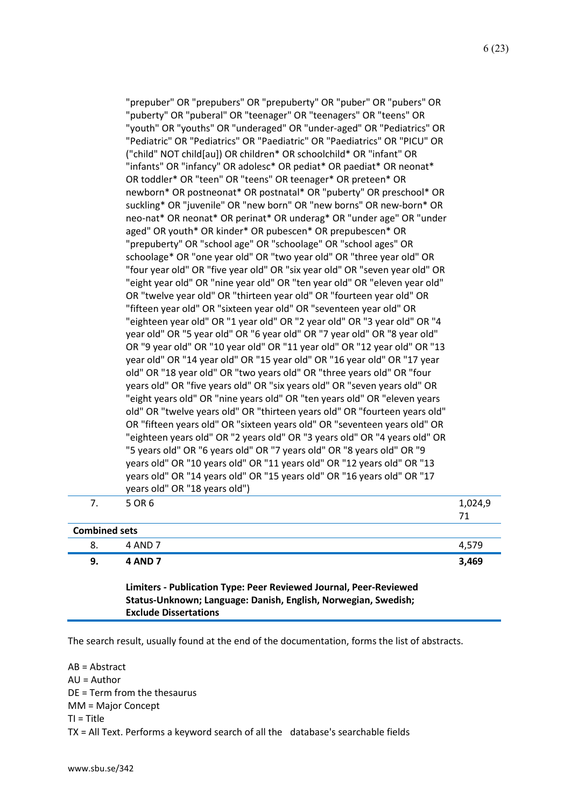| "eight year old" OR "nine year old" OR "ten year old" OR "eleven year old"<br>OR "twelve year old" OR "thirteen year old" OR "fourteen year old" OR<br>"fifteen year old" OR "sixteen year old" OR "seventeen year old" OR<br>"eighteen year old" OR "1 year old" OR "2 year old" OR "3 year old" OR "4<br>year old" OR "5 year old" OR "6 year old" OR "7 year old" OR "8 year old"<br>OR "9 year old" OR "10 year old" OR "11 year old" OR "12 year old" OR "13<br>year old" OR "14 year old" OR "15 year old" OR "16 year old" OR "17 year<br>old" OR "18 year old" OR "two years old" OR "three years old" OR "four<br>years old" OR "five years old" OR "six years old" OR "seven years old" OR<br>"eight years old" OR "nine years old" OR "ten years old" OR "eleven years<br>old" OR "twelve years old" OR "thirteen years old" OR "fourteen years old"<br>OR "fifteen years old" OR "sixteen years old" OR "seventeen years old" OR<br>"eighteen years old" OR "2 years old" OR "3 years old" OR "4 years old" OR<br>"5 years old" OR "6 years old" OR "7 years old" OR "8 years old" OR "9<br>years old" OR "10 years old" OR "11 years old" OR "12 years old" OR "13<br>years old" OR "14 years old" OR "15 years old" OR "16 years old" OR "17<br>years old" OR "18 years old")<br>5 OR 6<br>7.<br>71<br><b>Combined sets</b><br>8.<br>4 AND 7<br>4,579<br>9.<br><b>4 AND 7</b><br>3,469 | 1,024,9 |
|------------------------------------------------------------------------------------------------------------------------------------------------------------------------------------------------------------------------------------------------------------------------------------------------------------------------------------------------------------------------------------------------------------------------------------------------------------------------------------------------------------------------------------------------------------------------------------------------------------------------------------------------------------------------------------------------------------------------------------------------------------------------------------------------------------------------------------------------------------------------------------------------------------------------------------------------------------------------------------------------------------------------------------------------------------------------------------------------------------------------------------------------------------------------------------------------------------------------------------------------------------------------------------------------------------------------------------------------------------------------------------------------------|---------|
|                                                                                                                                                                                                                                                                                                                                                                                                                                                                                                                                                                                                                                                                                                                                                                                                                                                                                                                                                                                                                                                                                                                                                                                                                                                                                                                                                                                                      |         |
|                                                                                                                                                                                                                                                                                                                                                                                                                                                                                                                                                                                                                                                                                                                                                                                                                                                                                                                                                                                                                                                                                                                                                                                                                                                                                                                                                                                                      |         |
|                                                                                                                                                                                                                                                                                                                                                                                                                                                                                                                                                                                                                                                                                                                                                                                                                                                                                                                                                                                                                                                                                                                                                                                                                                                                                                                                                                                                      |         |
|                                                                                                                                                                                                                                                                                                                                                                                                                                                                                                                                                                                                                                                                                                                                                                                                                                                                                                                                                                                                                                                                                                                                                                                                                                                                                                                                                                                                      |         |
| "Pediatric" OR "Pediatrics" OR "Paediatric" OR "Paediatrics" OR "PICU" OR<br>("child" NOT child[au]) OR children* OR schoolchild* OR "infant" OR<br>"infants" OR "infancy" OR adolesc* OR pediat* OR paediat* OR neonat*<br>OR toddler* OR "teen" OR "teens" OR teenager* OR preteen* OR<br>newborn* OR postneonat* OR postnatal* OR "puberty" OR preschool* OR<br>suckling* OR "juvenile" OR "new born" OR "new borns" OR new-born* OR<br>neo-nat* OR neonat* OR perinat* OR underag* OR "under age" OR "under<br>aged" OR youth* OR kinder* OR pubescen* OR prepubescen* OR<br>"prepuberty" OR "school age" OR "schoolage" OR "school ages" OR<br>schoolage* OR "one year old" OR "two year old" OR "three year old" OR<br>"four year old" OR "five year old" OR "six year old" OR "seven year old" OR                                                                                                                                                                                                                                                                                                                                                                                                                                                                                                                                                                                             |         |

AB = Abstract AU = Author DE = Term from the thesaurus MM = Major Concept TI = Title TX = All Text. Performs a keyword search of all the database's searchable fields

**Exclude Dissertations**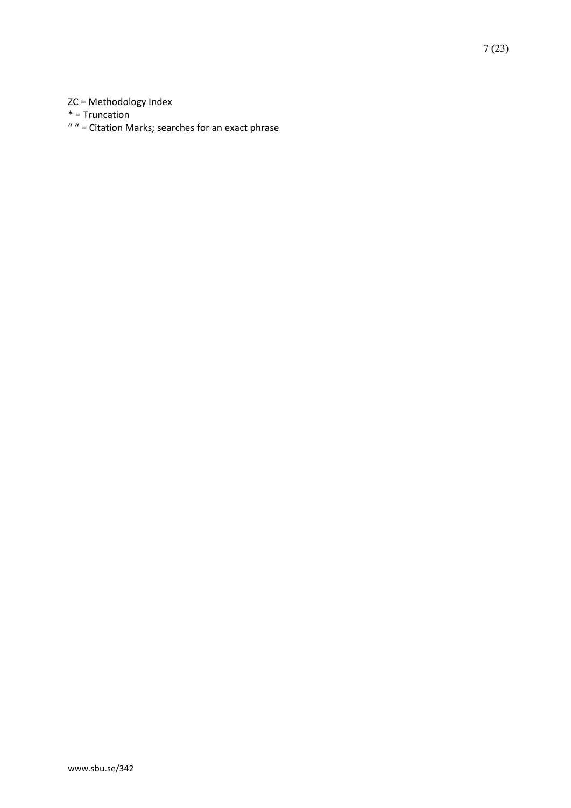## ZC = Methodology Index

\* = Truncation

" " = Citation Marks; searches for an exact phrase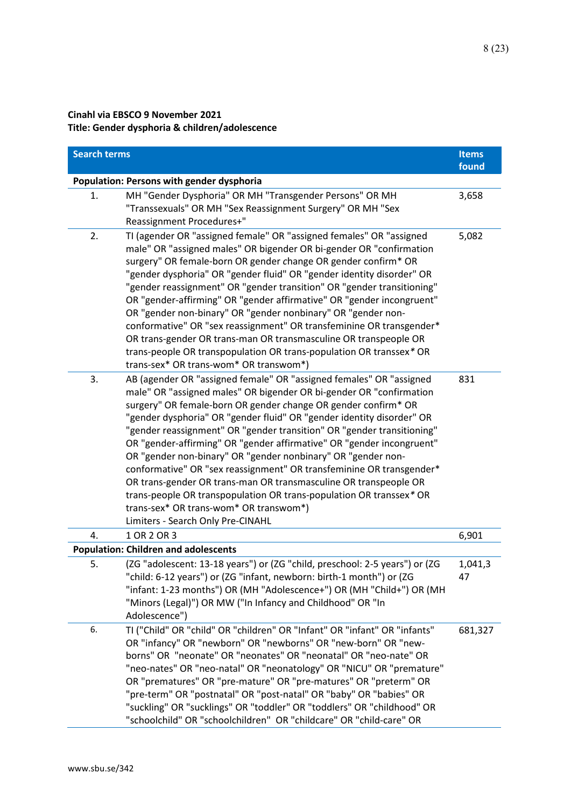### **Cinahl via EBSCO 9 November 2021 Title: Gender dysphoria & children/adolescence**

| <b>Search terms</b> |                                                                                                                                                                                                                                                                                                                                                                                                                                                                                                                                                                                                                                                                                                                                                                                                            | <b>Items</b><br>found |
|---------------------|------------------------------------------------------------------------------------------------------------------------------------------------------------------------------------------------------------------------------------------------------------------------------------------------------------------------------------------------------------------------------------------------------------------------------------------------------------------------------------------------------------------------------------------------------------------------------------------------------------------------------------------------------------------------------------------------------------------------------------------------------------------------------------------------------------|-----------------------|
|                     | Population: Persons with gender dysphoria                                                                                                                                                                                                                                                                                                                                                                                                                                                                                                                                                                                                                                                                                                                                                                  |                       |
| 1.                  | MH "Gender Dysphoria" OR MH "Transgender Persons" OR MH<br>"Transsexuals" OR MH "Sex Reassignment Surgery" OR MH "Sex<br>Reassignment Procedures+"                                                                                                                                                                                                                                                                                                                                                                                                                                                                                                                                                                                                                                                         | 3,658                 |
| 2.                  | TI (agender OR "assigned female" OR "assigned females" OR "assigned<br>male" OR "assigned males" OR bigender OR bi-gender OR "confirmation<br>surgery" OR female-born OR gender change OR gender confirm* OR<br>"gender dysphoria" OR "gender fluid" OR "gender identity disorder" OR<br>"gender reassignment" OR "gender transition" OR "gender transitioning"<br>OR "gender-affirming" OR "gender affirmative" OR "gender incongruent"<br>OR "gender non-binary" OR "gender nonbinary" OR "gender non-<br>conformative" OR "sex reassignment" OR transfeminine OR transgender*<br>OR trans-gender OR trans-man OR transmasculine OR transpeople OR<br>trans-people OR transpopulation OR trans-population OR transsex* OR<br>trans-sex* OR trans-wom* OR transwom*)                                      | 5,082                 |
| 3.                  | AB (agender OR "assigned female" OR "assigned females" OR "assigned<br>male" OR "assigned males" OR bigender OR bi-gender OR "confirmation<br>surgery" OR female-born OR gender change OR gender confirm* OR<br>"gender dysphoria" OR "gender fluid" OR "gender identity disorder" OR<br>"gender reassignment" OR "gender transition" OR "gender transitioning"<br>OR "gender-affirming" OR "gender affirmative" OR "gender incongruent"<br>OR "gender non-binary" OR "gender nonbinary" OR "gender non-<br>conformative" OR "sex reassignment" OR transfeminine OR transgender*<br>OR trans-gender OR trans-man OR transmasculine OR transpeople OR<br>trans-people OR transpopulation OR trans-population OR transsex* OR<br>trans-sex* OR trans-wom* OR transwom*)<br>Limiters - Search Only Pre-CINAHL | 831                   |
| 4.                  | 1 OR 2 OR 3                                                                                                                                                                                                                                                                                                                                                                                                                                                                                                                                                                                                                                                                                                                                                                                                | 6,901                 |
|                     | <b>Population: Children and adolescents</b>                                                                                                                                                                                                                                                                                                                                                                                                                                                                                                                                                                                                                                                                                                                                                                |                       |
| 5.                  | (ZG "adolescent: 13-18 years") or (ZG "child, preschool: 2-5 years") or (ZG<br>'child: 6-12 years") or (ZG "infant, newborn: birth-1 month") or (ZG<br>"infant: 1-23 months") OR (MH "Adolescence+") OR (MH "Child+") OR (MH<br>"Minors (Legal)") OR MW ("In Infancy and Childhood" OR "In<br>Adolescence")                                                                                                                                                                                                                                                                                                                                                                                                                                                                                                | 1,041,3<br>47         |
| 6.                  | TI ("Child" OR "child" OR "children" OR "Infant" OR "infant" OR "infants"<br>OR "infancy" OR "newborn" OR "newborns" OR "new-born" OR "new-<br>borns" OR "neonate" OR "neonates" OR "neonatal" OR "neo-nate" OR<br>"neo-nates" OR "neo-natal" OR "neonatology" OR "NICU" OR "premature"<br>OR "prematures" OR "pre-mature" OR "pre-matures" OR "preterm" OR<br>"pre-term" OR "postnatal" OR "post-natal" OR "baby" OR "babies" OR<br>"suckling" OR "sucklings" OR "toddler" OR "toddlers" OR "childhood" OR<br>"schoolchild" OR "schoolchildren" OR "childcare" OR "child-care" OR                                                                                                                                                                                                                         | 681,327               |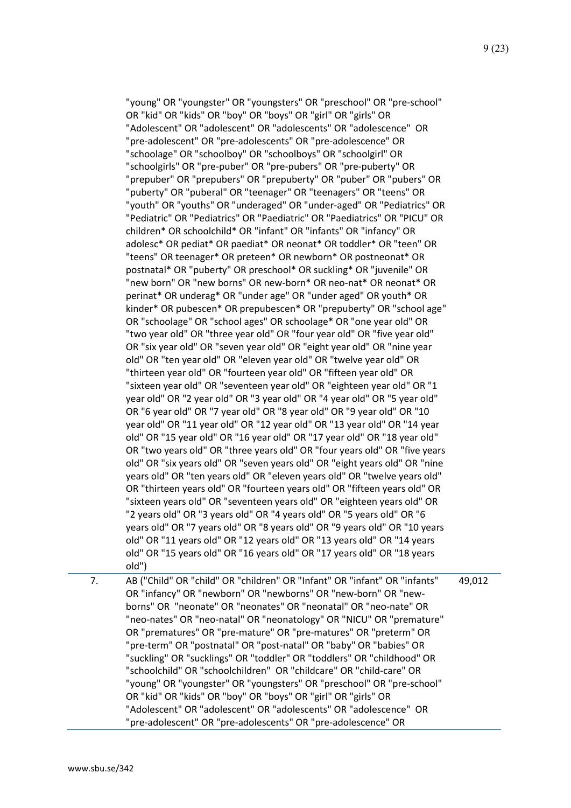|    | OR "kid" OR "kids" OR "boy" OR "boys" OR "girl" OR "girls" OR<br>"Adolescent" OR "adolescent" OR "adolescents" OR "adolescence" OR<br>"pre-adolescent" OR "pre-adolescents" OR "pre-adolescence" OR<br>"schoolage" OR "schoolboy" OR "schoolboys" OR "schoolgirl" OR<br>"schoolgirls" OR "pre-puber" OR "pre-pubers" OR "pre-puberty" OR<br>"prepuber" OR "prepubers" OR "prepuberty" OR "puber" OR "pubers" OR<br>"puberty" OR "puberal" OR "teenager" OR "teenagers" OR "teens" OR<br>"youth" OR "youths" OR "underaged" OR "under-aged" OR "Pediatrics" OR<br>"Pediatric" OR "Pediatrics" OR "Paediatric" OR "Paediatrics" OR "PICU" OR<br>children* OR schoolchild* OR "infant" OR "infants" OR "infancy" OR<br>adolesc* OR pediat* OR paediat* OR neonat* OR toddler* OR "teen" OR<br>"teens" OR teenager* OR preteen* OR newborn* OR postneonat* OR<br>postnatal* OR "puberty" OR preschool* OR suckling* OR "juvenile" OR<br>"new born" OR "new borns" OR new-born* OR neo-nat* OR neonat* OR<br>perinat* OR underag* OR "under age" OR "under aged" OR youth* OR<br>kinder* OR pubescen* OR prepubescen* OR "prepuberty" OR "school age"<br>OR "schoolage" OR "school ages" OR schoolage* OR "one year old" OR<br>"two year old" OR "three year old" OR "four year old" OR "five year old"<br>OR "six year old" OR "seven year old" OR "eight year old" OR "nine year<br>old" OR "ten year old" OR "eleven year old" OR "twelve year old" OR<br>"thirteen year old" OR "fourteen year old" OR "fifteen year old" OR<br>"sixteen year old" OR "seventeen year old" OR "eighteen year old" OR "1<br>year old" OR "2 year old" OR "3 year old" OR "4 year old" OR "5 year old"<br>OR "6 year old" OR "7 year old" OR "8 year old" OR "9 year old" OR "10<br>year old" OR "11 year old" OR "12 year old" OR "13 year old" OR "14 year<br>old" OR "15 year old" OR "16 year old" OR "17 year old" OR "18 year old"<br>OR "two years old" OR "three years old" OR "four years old" OR "five years<br>old" OR "six years old" OR "seven years old" OR "eight years old" OR "nine<br>years old" OR "ten years old" OR "eleven years old" OR "twelve years old"<br>OR "thirteen years old" OR "fourteen years old" OR "fifteen years old" OR<br>"sixteen years old" OR "seventeen years old" OR "eighteen years old" OR<br>"2 years old" OR "3 years old" OR "4 years old" OR "5 years old" OR "6<br>years old" OR "7 years old" OR "8 years old" OR "9 years old" OR "10 years<br>old" OR "11 years old" OR "12 years old" OR "13 years old" OR "14 years |        |
|----|-----------------------------------------------------------------------------------------------------------------------------------------------------------------------------------------------------------------------------------------------------------------------------------------------------------------------------------------------------------------------------------------------------------------------------------------------------------------------------------------------------------------------------------------------------------------------------------------------------------------------------------------------------------------------------------------------------------------------------------------------------------------------------------------------------------------------------------------------------------------------------------------------------------------------------------------------------------------------------------------------------------------------------------------------------------------------------------------------------------------------------------------------------------------------------------------------------------------------------------------------------------------------------------------------------------------------------------------------------------------------------------------------------------------------------------------------------------------------------------------------------------------------------------------------------------------------------------------------------------------------------------------------------------------------------------------------------------------------------------------------------------------------------------------------------------------------------------------------------------------------------------------------------------------------------------------------------------------------------------------------------------------------------------------------------------------------------------------------------------------------------------------------------------------------------------------------------------------------------------------------------------------------------------------------------------------------------------------------------------------------------------------------------------------------------------------------------------------------------------------------------------------------------------------------------------|--------|
|    | old" OR "15 years old" OR "16 years old" OR "17 years old" OR "18 years<br>old")                                                                                                                                                                                                                                                                                                                                                                                                                                                                                                                                                                                                                                                                                                                                                                                                                                                                                                                                                                                                                                                                                                                                                                                                                                                                                                                                                                                                                                                                                                                                                                                                                                                                                                                                                                                                                                                                                                                                                                                                                                                                                                                                                                                                                                                                                                                                                                                                                                                                          |        |
| 7. | AB ("Child" OR "child" OR "children" OR "Infant" OR "infant" OR "infants"<br>OR "infancy" OR "newborn" OR "newborns" OR "new-born" OR "new-<br>borns" OR "neonate" OR "neonates" OR "neonatal" OR "neo-nate" OR<br>"neo-nates" OR "neo-natal" OR "neonatology" OR "NICU" OR "premature"<br>OR "prematures" OR "pre-mature" OR "pre-matures" OR "preterm" OR<br>"pre-term" OR "postnatal" OR "post-natal" OR "baby" OR "babies" OR<br>"suckling" OR "sucklings" OR "toddler" OR "toddlers" OR "childhood" OR<br>"schoolchild" OR "schoolchildren" OR "childcare" OR "child-care" OR<br>"young" OR "youngster" OR "youngsters" OR "preschool" OR "pre-school"<br>OR "kid" OR "kids" OR "boy" OR "boys" OR "girl" OR "girls" OR<br>"Adolescent" OR "adolescent" OR "adolescents" OR "adolescence" OR<br>"pre-adolescent" OR "pre-adolescents" OR "pre-adolescence" OR                                                                                                                                                                                                                                                                                                                                                                                                                                                                                                                                                                                                                                                                                                                                                                                                                                                                                                                                                                                                                                                                                                                                                                                                                                                                                                                                                                                                                                                                                                                                                                                                                                                                                        | 49,012 |
|    |                                                                                                                                                                                                                                                                                                                                                                                                                                                                                                                                                                                                                                                                                                                                                                                                                                                                                                                                                                                                                                                                                                                                                                                                                                                                                                                                                                                                                                                                                                                                                                                                                                                                                                                                                                                                                                                                                                                                                                                                                                                                                                                                                                                                                                                                                                                                                                                                                                                                                                                                                           |        |

"young" OR "youngster" OR "youngsters" OR "preschool" OR "pre-school"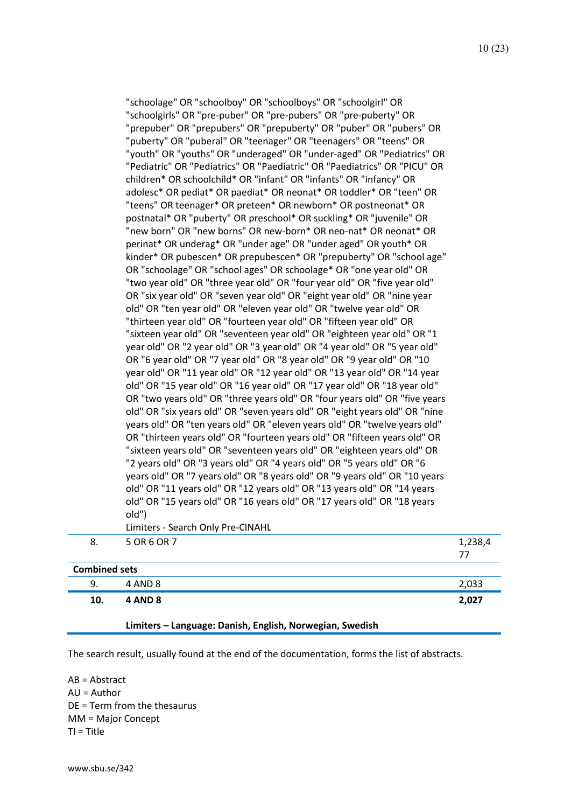| 10.                  | <b>4 AND 8</b>                                                                                                                                          | 2,027   |
|----------------------|---------------------------------------------------------------------------------------------------------------------------------------------------------|---------|
| 9.                   | 4 AND 8                                                                                                                                                 | 2,033   |
| <b>Combined sets</b> |                                                                                                                                                         |         |
|                      |                                                                                                                                                         | 77      |
| 8.                   | 5 OR 6 OR 7                                                                                                                                             | 1,238,4 |
|                      | Limiters - Search Only Pre-CINAHL                                                                                                                       |         |
|                      | old")                                                                                                                                                   |         |
|                      | old" OR "15 years old" OR "16 years old" OR "17 years old" OR "18 years                                                                                 |         |
|                      | old" OR "11 years old" OR "12 years old" OR "13 years old" OR "14 years                                                                                 |         |
|                      | years old" OR "7 years old" OR "8 years old" OR "9 years old" OR "10 years                                                                              |         |
|                      | "2 years old" OR "3 years old" OR "4 years old" OR "5 years old" OR "6                                                                                  |         |
|                      | "sixteen years old" OR "seventeen years old" OR "eighteen years old" OR                                                                                 |         |
|                      | OR "thirteen years old" OR "fourteen years old" OR "fifteen years old" OR                                                                               |         |
|                      | old" OR "six years old" OR "seven years old" OR "eight years old" OR "nine<br>years old" OR "ten years old" OR "eleven years old" OR "twelve years old" |         |
|                      | OR "two years old" OR "three years old" OR "four years old" OR "five years                                                                              |         |
|                      | old" OR "15 year old" OR "16 year old" OR "17 year old" OR "18 year old"                                                                                |         |
|                      | year old" OR "11 year old" OR "12 year old" OR "13 year old" OR "14 year                                                                                |         |
|                      | OR "6 year old" OR "7 year old" OR "8 year old" OR "9 year old" OR "10                                                                                  |         |
|                      | year old" OR "2 year old" OR "3 year old" OR "4 year old" OR "5 year old"                                                                               |         |
|                      | "sixteen year old" OR "seventeen year old" OR "eighteen year old" OR "1                                                                                 |         |
|                      | "thirteen year old" OR "fourteen year old" OR "fifteen year old" OR                                                                                     |         |
|                      | old" OR "ten year old" OR "eleven year old" OR "twelve year old" OR                                                                                     |         |
|                      | OR "six year old" OR "seven year old" OR "eight year old" OR "nine year                                                                                 |         |
|                      | "two year old" OR "three year old" OR "four year old" OR "five year old"                                                                                |         |
|                      | OR "schoolage" OR "school ages" OR schoolage* OR "one year old" OR                                                                                      |         |
|                      | kinder* OR pubescen* OR prepubescen* OR "prepuberty" OR "school age"                                                                                    |         |
|                      | perinat* OR underag* OR "under age" OR "under aged" OR youth* OR                                                                                        |         |
|                      | "new born" OR "new borns" OR new-born* OR neo-nat* OR neonat* OR                                                                                        |         |
|                      | postnatal* OR "puberty" OR preschool* OR suckling* OR "juvenile" OR                                                                                     |         |
|                      | "teens" OR teenager* OR preteen* OR newborn* OR postneonat* OR                                                                                          |         |
|                      | adolesc* OR pediat* OR paediat* OR neonat* OR toddler* OR "teen" OR                                                                                     |         |
|                      | children* OR schoolchild* OR "infant" OR "infants" OR "infancy" OR                                                                                      |         |
|                      | "Pediatric" OR "Pediatrics" OR "Paediatric" OR "Paediatrics" OR "PICU" OR                                                                               |         |
|                      | "puberty" OR "puberal" OR "teenager" OR "teenagers" OR "teens" OR<br>"youth" OR "youths" OR "underaged" OR "under-aged" OR "Pediatrics" OR              |         |
|                      | "prepuber" OR "prepubers" OR "prepuberty" OR "puber" OR "pubers" OR                                                                                     |         |
|                      | "schoolgirls" OR "pre-puber" OR "pre-pubers" OR "pre-puberty" OR                                                                                        |         |
|                      | "schoolage" OR "schoolboy" OR "schoolboys" OR "schoolgirl" OR                                                                                           |         |
|                      |                                                                                                                                                         |         |

#### **Limiters – Language: Danish, English, Norwegian, Swedish**

The search result, usually found at the end of the documentation, forms the list of abstracts.

AB = Abstract AU = Author DE = Term from the thesaurus MM = Major Concept TI = Title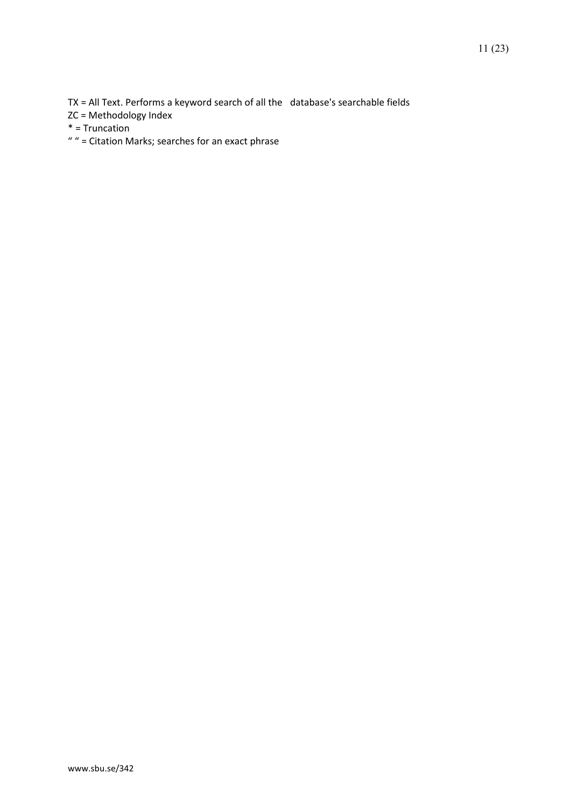TX = All Text. Performs a keyword search of all the database's searchable fields

ZC = Methodology Index

\* = Truncation

 $"$  " = Citation Marks; searches for an exact phrase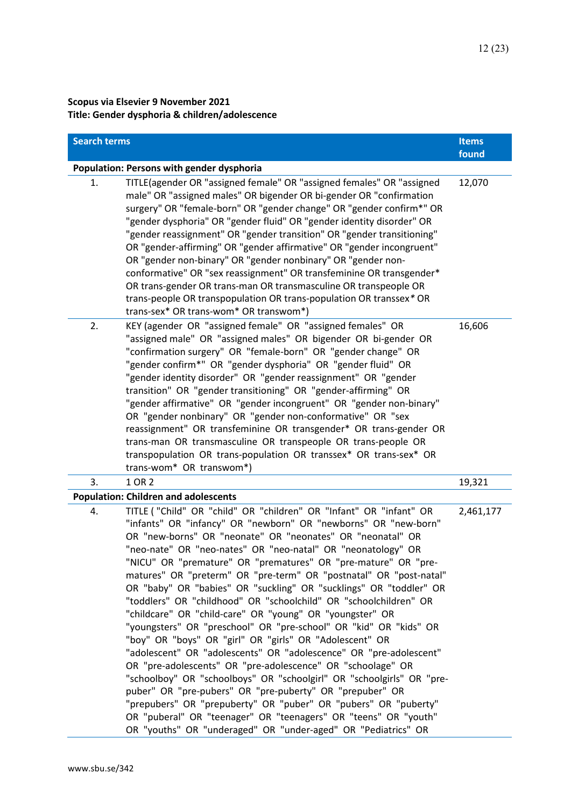## **Scopus via Elsevier 9 November 2021 Title: Gender dysphoria & children/adolescence**

| <b>Search terms</b> |                                                                                                                                                                                                                                                                                                                                                                                                                                                                                                                                                                                                                                                                                                                                                                                                                                                                                                                                                                                                                                                                                                                                                                                                                                     | <b>Items</b><br>found |
|---------------------|-------------------------------------------------------------------------------------------------------------------------------------------------------------------------------------------------------------------------------------------------------------------------------------------------------------------------------------------------------------------------------------------------------------------------------------------------------------------------------------------------------------------------------------------------------------------------------------------------------------------------------------------------------------------------------------------------------------------------------------------------------------------------------------------------------------------------------------------------------------------------------------------------------------------------------------------------------------------------------------------------------------------------------------------------------------------------------------------------------------------------------------------------------------------------------------------------------------------------------------|-----------------------|
|                     | Population: Persons with gender dysphoria                                                                                                                                                                                                                                                                                                                                                                                                                                                                                                                                                                                                                                                                                                                                                                                                                                                                                                                                                                                                                                                                                                                                                                                           |                       |
| 1.                  | TITLE(agender OR "assigned female" OR "assigned females" OR "assigned<br>male" OR "assigned males" OR bigender OR bi-gender OR "confirmation<br>surgery" OR "female-born" OR "gender change" OR "gender confirm*" OR<br>"gender dysphoria" OR "gender fluid" OR "gender identity disorder" OR<br>"gender reassignment" OR "gender transition" OR "gender transitioning"<br>OR "gender-affirming" OR "gender affirmative" OR "gender incongruent"<br>OR "gender non-binary" OR "gender nonbinary" OR "gender non-<br>conformative" OR "sex reassignment" OR transfeminine OR transgender*<br>OR trans-gender OR trans-man OR transmasculine OR transpeople OR<br>trans-people OR transpopulation OR trans-population OR transsex* OR<br>trans-sex* OR trans-wom* OR transwom*)                                                                                                                                                                                                                                                                                                                                                                                                                                                       | 12,070                |
| 2.                  | KEY (agender OR "assigned female" OR "assigned females" OR<br>"assigned male" OR "assigned males" OR bigender OR bi-gender OR<br>"confirmation surgery" OR "female-born" OR "gender change" OR<br>"gender confirm*" OR "gender dysphoria" OR "gender fluid" OR<br>"gender identity disorder" OR "gender reassignment" OR "gender<br>transition" OR "gender transitioning" OR "gender-affirming" OR<br>"gender affirmative" OR "gender incongruent" OR "gender non-binary"<br>OR "gender nonbinary" OR "gender non-conformative" OR "sex<br>reassignment" OR transfeminine OR transgender* OR trans-gender OR<br>trans-man OR transmasculine OR transpeople OR trans-people OR<br>transpopulation OR trans-population OR transsex* OR trans-sex* OR<br>trans-wom* OR transwom*)                                                                                                                                                                                                                                                                                                                                                                                                                                                      | 16,606                |
| 3.                  | 1 OR 2                                                                                                                                                                                                                                                                                                                                                                                                                                                                                                                                                                                                                                                                                                                                                                                                                                                                                                                                                                                                                                                                                                                                                                                                                              | 19,321                |
|                     | <b>Population: Children and adolescents</b>                                                                                                                                                                                                                                                                                                                                                                                                                                                                                                                                                                                                                                                                                                                                                                                                                                                                                                                                                                                                                                                                                                                                                                                         |                       |
| 4.                  | TITLE ("Child" OR "child" OR "children" OR "Infant" OR "infant" OR<br>"infants" OR "infancy" OR "newborn" OR "newborns" OR "new-born"<br>OR "new-borns" OR "neonate" OR "neonates" OR "neonatal" OR<br>"neo-nate" OR "neo-nates" OR "neo-natal" OR "neonatology" OR<br>"NICU" OR "premature" OR "prematures" OR "pre-mature" OR "pre-<br>matures" OR "preterm" OR "pre-term" OR "postnatal" OR "post-natal"<br>OR "baby" OR "babies" OR "suckling" OR "sucklings" OR "toddler" OR<br>"toddlers" OR "childhood" OR "schoolchild" OR "schoolchildren" OR<br>"childcare" OR "child-care" OR "young" OR "youngster" OR<br>"youngsters" OR "preschool" OR "pre-school" OR "kid" OR "kids" OR<br>"boy" OR "boys" OR "girl" OR "girls" OR "Adolescent" OR<br>"adolescent" OR "adolescents" OR "adolescence" OR "pre-adolescent"<br>OR "pre-adolescents" OR "pre-adolescence" OR "schoolage" OR<br>"schoolboy" OR "schoolboys" OR "schoolgirl" OR "schoolgirls" OR "pre-<br>puber" OR "pre-pubers" OR "pre-puberty" OR "prepuber" OR<br>"prepubers" OR "prepuberty" OR "puber" OR "pubers" OR "puberty"<br>OR "puberal" OR "teenager" OR "teenagers" OR "teens" OR "youth"<br>OR "youths" OR "underaged" OR "under-aged" OR "Pediatrics" OR | 2,461,177             |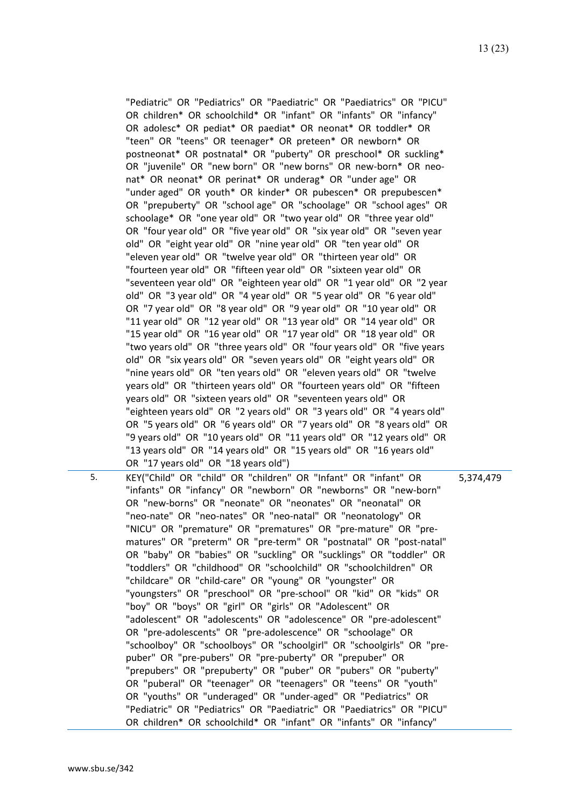5. KEY("Child" OR "child" OR "children" OR "Infant" OR "infant" OR "infants" OR "infancy" OR "newborn" OR "newborns" OR "new-born" OR "new-borns" OR "neonate" OR "neonates" OR "neonatal" OR "neo-nate" OR "neo-nates" OR "neo-natal" OR "neonatology" OR "NICU" OR "premature" OR "prematures" OR "pre-mature" OR "prematures" OR "preterm" OR "pre-term" OR "postnatal" OR "post-natal" OR "baby" OR "babies" OR "suckling" OR "sucklings" OR "toddler" OR "toddlers" OR "childhood" OR "schoolchild" OR "schoolchildren" OR "childcare" OR "child-care" OR "young" OR "youngster" OR "youngsters" OR "preschool" OR "pre-school" OR "kid" OR "kids" OR "boy" OR "boys" OR "girl" OR "girls" OR "Adolescent" OR "adolescent" OR "adolescents" OR "adolescence" OR "pre-adolescent" OR "pre-adolescents" OR "pre-adolescence" OR "schoolage" OR "schoolboy" OR "schoolboys" OR "schoolgirl" OR "schoolgirls" OR "prepuber" OR "pre-pubers" OR "pre-puberty" OR "prepuber" OR "prepubers" OR "prepuberty" OR "puber" OR "pubers" OR "puberty" OR "puberal" OR "teenager" OR "teenagers" OR "teens" OR "youth" OR "youths" OR "underaged" OR "under-aged" OR "Pediatrics" OR "Pediatric" OR "Pediatrics" OR "Paediatric" OR "Paediatrics" OR "PICU" OR children\* OR schoolchild\* OR "infant" OR "infants" OR "infancy"

5,374,479

"Pediatric" OR "Pediatrics" OR "Paediatric" OR "Paediatrics" OR "PICU" OR children\* OR schoolchild\* OR "infant" OR "infants" OR "infancy" OR adolesc\* OR pediat\* OR paediat\* OR neonat\* OR toddler\* OR "teen" OR "teens" OR teenager\* OR preteen\* OR newborn\* OR postneonat\* OR postnatal\* OR "puberty" OR preschool\* OR suckling\* OR "juvenile" OR "new born" OR "new borns" OR new-born\* OR neonat\* OR neonat\* OR perinat\* OR underag\* OR "under age" OR "under aged" OR youth\* OR kinder\* OR pubescen\* OR prepubescen\* OR "prepuberty" OR "school age" OR "schoolage" OR "school ages" OR schoolage\* OR "one year old" OR "two year old" OR "three year old" OR "four year old" OR "five year old" OR "six year old" OR "seven year old" OR "eight year old" OR "nine year old" OR "ten year old" OR "eleven year old" OR "twelve year old" OR "thirteen year old" OR "fourteen year old" OR "fifteen year old" OR "sixteen year old" OR "seventeen year old" OR "eighteen year old" OR "1 year old" OR "2 year old" OR "3 year old" OR "4 year old" OR "5 year old" OR "6 year old" OR "7 year old" OR "8 year old" OR "9 year old" OR "10 year old" OR "11 year old" OR "12 year old" OR "13 year old" OR "14 year old" OR "15 year old" OR "16 year old" OR "17 year old" OR "18 year old" OR "two years old" OR "three years old" OR "four years old" OR "five years old" OR "six years old" OR "seven years old" OR "eight years old" OR "nine years old" OR "ten years old" OR "eleven years old" OR "twelve years old" OR "thirteen years old" OR "fourteen years old" OR "fifteen years old" OR "sixteen years old" OR "seventeen years old" OR "eighteen years old" OR "2 years old" OR "3 years old" OR "4 years old" OR "5 years old" OR "6 years old" OR "7 years old" OR "8 years old" OR "9 years old" OR "10 years old" OR "11 years old" OR "12 years old" OR "13 years old" OR "14 years old" OR "15 years old" OR "16 years old" OR "17 years old" OR "18 years old")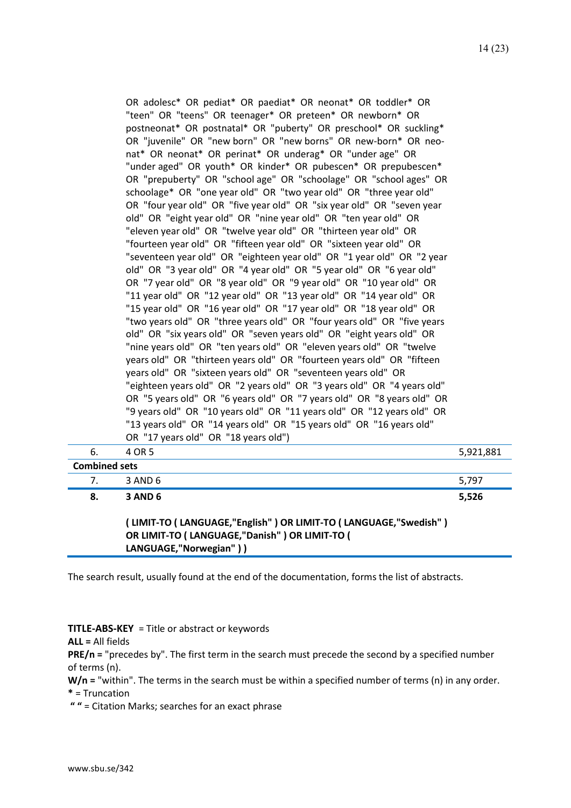| years old" OR "sixteen years old" OR "seventeen years old" OR           |  |
|-------------------------------------------------------------------------|--|
| "eighteen years old" OR "2 years old" OR "3 years old" OR "4 years old" |  |
|                                                                         |  |
| OR "5 years old" OR "6 years old" OR "7 years old" OR "8 years old" OR  |  |
|                                                                         |  |
|                                                                         |  |
|                                                                         |  |
|                                                                         |  |
|                                                                         |  |
| years old" OR "thirteen years old" OR "fourteen years old" OR "fifteen  |  |
|                                                                         |  |
| "nine years old" OR "ten years old" OR "eleven years old" OR "twelve    |  |
| old" OR "six years old" OR "seven years old" OR "eight years old" OR    |  |
|                                                                         |  |
| "two years old" OR "three years old" OR "four years old" OR "five years |  |
| "15 year old" OR "16 year old" OR "17 year old" OR "18 year old" OR     |  |
| "11 year old" OR "12 year old" OR "13 year old" OR "14 year old" OR     |  |
|                                                                         |  |
| OR "7 year old" OR "8 year old" OR "9 year old" OR "10 year old" OR     |  |
| old" OR "3 year old" OR "4 year old" OR "5 year old" OR "6 year old"    |  |
| "seventeen year old" OR "eighteen year old" OR "1 year old" OR "2 year  |  |
| "fourteen year old" OR "fifteen year old" OR "sixteen year old" OR      |  |
|                                                                         |  |
| "eleven year old" OR "twelve year old" OR "thirteen year old" OR        |  |
| old" OR "eight year old" OR "nine year old" OR "ten year old" OR        |  |
| OR "four year old" OR "five year old" OR "six year old" OR "seven year  |  |
| schoolage* OR "one year old" OR "two year old" OR "three year old"      |  |
| OR "prepuberty" OR "school age" OR "schoolage" OR "school ages" OR      |  |
| "under aged" OR youth* OR kinder* OR pubescen* OR prepubescen*          |  |
|                                                                         |  |
| nat* OR neonat* OR perinat* OR underag* OR "under age" OR               |  |
| OR "juvenile" OR "new born" OR "new borns" OR new-born* OR neo-         |  |
| postneonat* OR postnatal* OR "puberty" OR preschool* OR suckling*       |  |
| "teen" OR "teens" OR teenager* OR preteen* OR newborn* OR               |  |
|                                                                         |  |
| OR adolesc* OR pediat* OR paediat* OR neonat* OR toddler* OR            |  |

**( LIMIT-TO ( LANGUAGE,"English" ) OR LIMIT-TO ( LANGUAGE,"Swedish" ) OR LIMIT-TO ( LANGUAGE,"Danish" ) OR LIMIT-TO ( LANGUAGE,"Norwegian" ) )**

The search result, usually found at the end of the documentation, forms the list of abstracts.

#### **TITLE-ABS-KEY** = Title or abstract or keywords

**ALL =** All fields

**PRE/n =** "precedes by". The first term in the search must precede the second by a specified number of terms (n).

W/n = "within". The terms in the search must be within a specified number of terms (n) in any order. **\*** = Truncation

**" "** = Citation Marks; searches for an exact phrase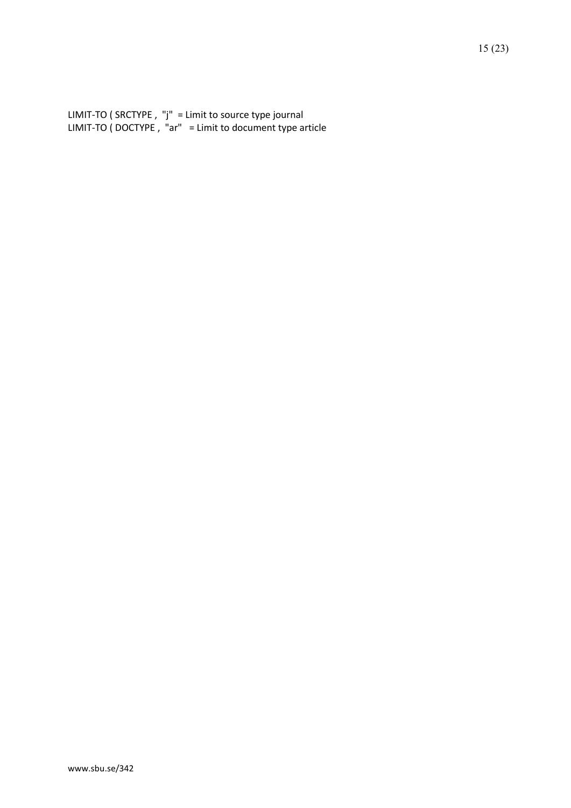LIMIT-TO ( SRCTYPE , "j" = Limit to source type journal LIMIT-TO ( DOCTYPE , "ar" = Limit to document type article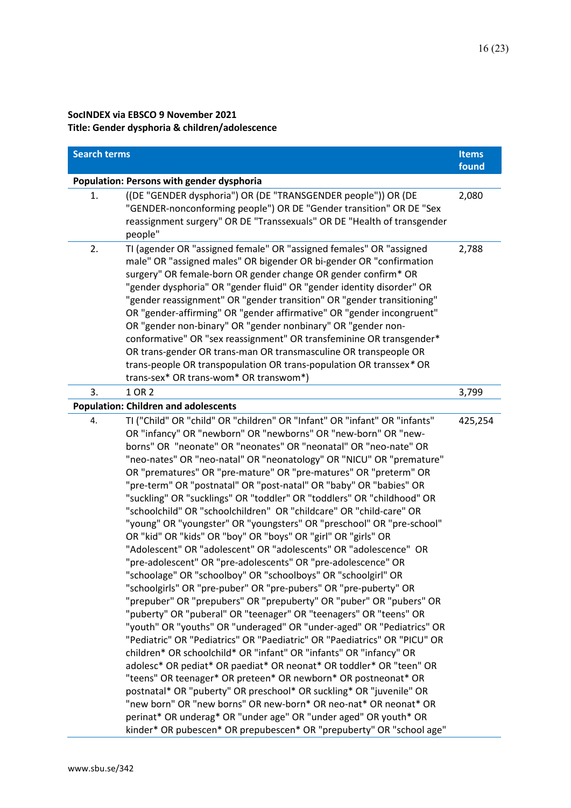### **SocINDEX via EBSCO 9 November 2021 Title: Gender dysphoria & children/adolescence**

| <b>Search terms</b> |                                                                                                                                                                                                                                                                                                                                                                                                                                                                                                                                                                                                                                                                                                                                                                                                                                                                                                                                                                                                                                                                                                                                                                                                                                                                                                                                                                                                                                                                                                                                                                                                                                                                                                                                                                                                                 | <b>Items</b> |
|---------------------|-----------------------------------------------------------------------------------------------------------------------------------------------------------------------------------------------------------------------------------------------------------------------------------------------------------------------------------------------------------------------------------------------------------------------------------------------------------------------------------------------------------------------------------------------------------------------------------------------------------------------------------------------------------------------------------------------------------------------------------------------------------------------------------------------------------------------------------------------------------------------------------------------------------------------------------------------------------------------------------------------------------------------------------------------------------------------------------------------------------------------------------------------------------------------------------------------------------------------------------------------------------------------------------------------------------------------------------------------------------------------------------------------------------------------------------------------------------------------------------------------------------------------------------------------------------------------------------------------------------------------------------------------------------------------------------------------------------------------------------------------------------------------------------------------------------------|--------------|
|                     |                                                                                                                                                                                                                                                                                                                                                                                                                                                                                                                                                                                                                                                                                                                                                                                                                                                                                                                                                                                                                                                                                                                                                                                                                                                                                                                                                                                                                                                                                                                                                                                                                                                                                                                                                                                                                 | found        |
| 1.                  | Population: Persons with gender dysphoria<br>((DE "GENDER dysphoria") OR (DE "TRANSGENDER people")) OR (DE<br>"GENDER-nonconforming people") OR DE "Gender transition" OR DE "Sex<br>reassignment surgery" OR DE "Transsexuals" OR DE "Health of transgender<br>people"                                                                                                                                                                                                                                                                                                                                                                                                                                                                                                                                                                                                                                                                                                                                                                                                                                                                                                                                                                                                                                                                                                                                                                                                                                                                                                                                                                                                                                                                                                                                         | 2,080        |
| 2.                  | TI (agender OR "assigned female" OR "assigned females" OR "assigned<br>male" OR "assigned males" OR bigender OR bi-gender OR "confirmation<br>surgery" OR female-born OR gender change OR gender confirm* OR<br>"gender dysphoria" OR "gender fluid" OR "gender identity disorder" OR<br>"gender reassignment" OR "gender transition" OR "gender transitioning"<br>OR "gender-affirming" OR "gender affirmative" OR "gender incongruent"<br>OR "gender non-binary" OR "gender nonbinary" OR "gender non-<br>conformative" OR "sex reassignment" OR transfeminine OR transgender*<br>OR trans-gender OR trans-man OR transmasculine OR transpeople OR<br>trans-people OR transpopulation OR trans-population OR transsex* OR<br>trans-sex* OR trans-wom* OR transwom*)                                                                                                                                                                                                                                                                                                                                                                                                                                                                                                                                                                                                                                                                                                                                                                                                                                                                                                                                                                                                                                           | 2,788        |
| 3.                  | 1 OR 2                                                                                                                                                                                                                                                                                                                                                                                                                                                                                                                                                                                                                                                                                                                                                                                                                                                                                                                                                                                                                                                                                                                                                                                                                                                                                                                                                                                                                                                                                                                                                                                                                                                                                                                                                                                                          | 3,799        |
|                     | <b>Population: Children and adolescents</b>                                                                                                                                                                                                                                                                                                                                                                                                                                                                                                                                                                                                                                                                                                                                                                                                                                                                                                                                                                                                                                                                                                                                                                                                                                                                                                                                                                                                                                                                                                                                                                                                                                                                                                                                                                     |              |
| 4.                  | TI ("Child" OR "child" OR "children" OR "Infant" OR "infant" OR "infants"<br>OR "infancy" OR "newborn" OR "newborns" OR "new-born" OR "new-<br>borns" OR "neonate" OR "neonates" OR "neonatal" OR "neo-nate" OR<br>"neo-nates" OR "neo-natal" OR "neonatology" OR "NICU" OR "premature"<br>OR "prematures" OR "pre-mature" OR "pre-matures" OR "preterm" OR<br>"pre-term" OR "postnatal" OR "post-natal" OR "baby" OR "babies" OR<br>"suckling" OR "sucklings" OR "toddler" OR "toddlers" OR "childhood" OR<br>"schoolchild" OR "schoolchildren" OR "childcare" OR "child-care" OR<br>"young" OR "youngster" OR "youngsters" OR "preschool" OR "pre-school"<br>OR "kid" OR "kids" OR "boy" OR "boys" OR "girl" OR "girls" OR<br>"Adolescent" OR "adolescent" OR "adolescents" OR "adolescence" OR<br>"pre-adolescent" OR "pre-adolescents" OR "pre-adolescence" OR<br>'schoolage" OR "schoolboy" OR "schoolboys" OR "schoolgirl" OR<br>"schoolgirls" OR "pre-puber" OR "pre-pubers" OR "pre-puberty" OR<br>"prepuber" OR "prepubers" OR "prepuberty" OR "puber" OR "pubers" OR<br>"puberty" OR "puberal" OR "teenager" OR "teenagers" OR "teens" OR<br>"youth" OR "youths" OR "underaged" OR "under-aged" OR "Pediatrics" OR<br>"Pediatric" OR "Pediatrics" OR "Paediatric" OR "Paediatrics" OR "PICU" OR<br>children* OR schoolchild* OR "infant" OR "infants" OR "infancy" OR<br>adolesc* OR pediat* OR paediat* OR neonat* OR toddler* OR "teen" OR<br>"teens" OR teenager* OR preteen* OR newborn* OR postneonat* OR<br>postnatal* OR "puberty" OR preschool* OR suckling* OR "juvenile" OR<br>"new born" OR "new borns" OR new-born* OR neo-nat* OR neonat* OR<br>perinat* OR underag* OR "under age" OR "under aged" OR youth* OR<br>kinder* OR pubescen* OR prepubescen* OR "prepuberty" OR "school age" | 425,254      |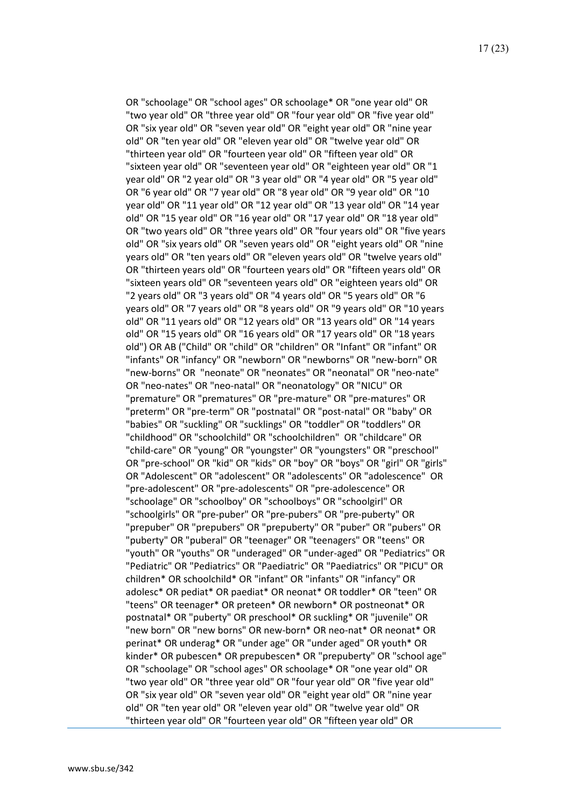OR "schoolage" OR "school ages" OR schoolage\* OR "one year old" OR "two year old" OR "three year old" OR "four year old" OR "five year old" OR "six year old" OR "seven year old" OR "eight year old" OR "nine year old" OR "ten year old" OR "eleven year old" OR "twelve year old" OR "thirteen year old" OR "fourteen year old" OR "fifteen year old" OR "sixteen year old" OR "seventeen year old" OR "eighteen year old" OR "1 year old" OR "2 year old" OR "3 year old" OR "4 year old" OR "5 year old" OR "6 year old" OR "7 year old" OR "8 year old" OR "9 year old" OR "10 year old" OR "11 year old" OR "12 year old" OR "13 year old" OR "14 year old" OR "15 year old" OR "16 year old" OR "17 year old" OR "18 year old" OR "two years old" OR "three years old" OR "four years old" OR "five years old" OR "six years old" OR "seven years old" OR "eight years old" OR "nine years old" OR "ten years old" OR "eleven years old" OR "twelve years old" OR "thirteen years old" OR "fourteen years old" OR "fifteen years old" OR "sixteen years old" OR "seventeen years old" OR "eighteen years old" OR "2 years old" OR "3 years old" OR "4 years old" OR "5 years old" OR "6 years old" OR "7 years old" OR "8 years old" OR "9 years old" OR "10 years old" OR "11 years old" OR "12 years old" OR "13 years old" OR "14 years old" OR "15 years old" OR "16 years old" OR "17 years old" OR "18 years old") OR AB ("Child" OR "child" OR "children" OR "Infant" OR "infant" OR "infants" OR "infancy" OR "newborn" OR "newborns" OR "new-born" OR "new-borns" OR "neonate" OR "neonates" OR "neonatal" OR "neo-nate" OR "neo-nates" OR "neo-natal" OR "neonatology" OR "NICU" OR "premature" OR "prematures" OR "pre-mature" OR "pre-matures" OR "preterm" OR "pre-term" OR "postnatal" OR "post-natal" OR "baby" OR "babies" OR "suckling" OR "sucklings" OR "toddler" OR "toddlers" OR "childhood" OR "schoolchild" OR "schoolchildren" OR "childcare" OR "child-care" OR "young" OR "youngster" OR "youngsters" OR "preschool" OR "pre-school" OR "kid" OR "kids" OR "boy" OR "boys" OR "girl" OR "girls" OR "Adolescent" OR "adolescent" OR "adolescents" OR "adolescence" OR "pre-adolescent" OR "pre-adolescents" OR "pre-adolescence" OR "schoolage" OR "schoolboy" OR "schoolboys" OR "schoolgirl" OR "schoolgirls" OR "pre-puber" OR "pre-pubers" OR "pre-puberty" OR "prepuber" OR "prepubers" OR "prepuberty" OR "puber" OR "pubers" OR "puberty" OR "puberal" OR "teenager" OR "teenagers" OR "teens" OR "youth" OR "youths" OR "underaged" OR "under-aged" OR "Pediatrics" OR "Pediatric" OR "Pediatrics" OR "Paediatric" OR "Paediatrics" OR "PICU" OR children\* OR schoolchild\* OR "infant" OR "infants" OR "infancy" OR adolesc\* OR pediat\* OR paediat\* OR neonat\* OR toddler\* OR "teen" OR "teens" OR teenager\* OR preteen\* OR newborn\* OR postneonat\* OR postnatal\* OR "puberty" OR preschool\* OR suckling\* OR "juvenile" OR "new born" OR "new borns" OR new-born\* OR neo-nat\* OR neonat\* OR perinat\* OR underag\* OR "under age" OR "under aged" OR youth\* OR kinder\* OR pubescen\* OR prepubescen\* OR "prepuberty" OR "school age" OR "schoolage" OR "school ages" OR schoolage\* OR "one year old" OR "two year old" OR "three year old" OR "four year old" OR "five year old" OR "six year old" OR "seven year old" OR "eight year old" OR "nine year old" OR "ten year old" OR "eleven year old" OR "twelve year old" OR "thirteen year old" OR "fourteen year old" OR "fifteen year old" OR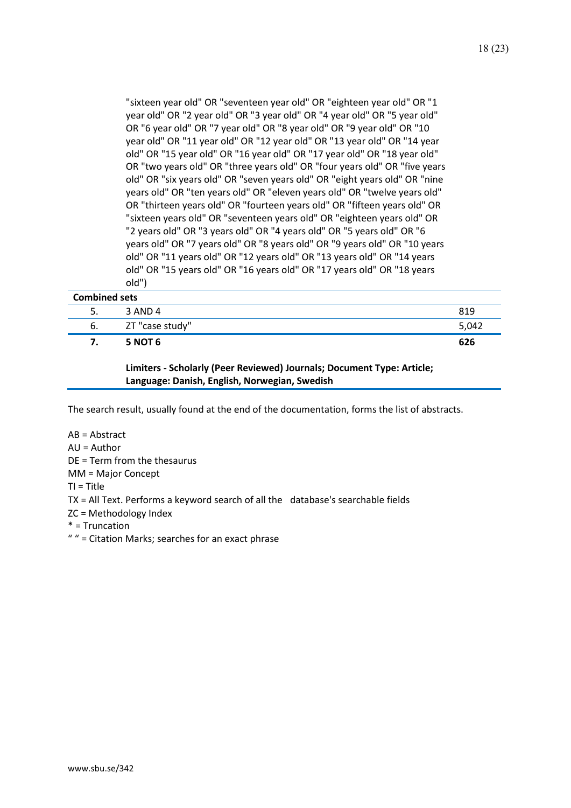"sixteen year old" OR "seventeen year old" OR "eighteen year old" OR "1 year old" OR "2 year old" OR "3 year old" OR "4 year old" OR "5 year old" OR "6 year old" OR "7 year old" OR "8 year old" OR "9 year old" OR "10 year old" OR "11 year old" OR "12 year old" OR "13 year old" OR "14 year old" OR "15 year old" OR "16 year old" OR "17 year old" OR "18 year old" OR "two years old" OR "three years old" OR "four years old" OR "five years old" OR "six years old" OR "seven years old" OR "eight years old" OR "nine years old" OR "ten years old" OR "eleven years old" OR "twelve years old" OR "thirteen years old" OR "fourteen years old" OR "fifteen years old" OR "sixteen years old" OR "seventeen years old" OR "eighteen years old" OR "2 years old" OR "3 years old" OR "4 years old" OR "5 years old" OR "6 years old" OR "7 years old" OR "8 years old" OR "9 years old" OR "10 years old" OR "11 years old" OR "12 years old" OR "13 years old" OR "14 years old" OR "15 years old" OR "16 years old" OR "17 years old" OR "18 years

| <b>Combined sets</b> |                 |       |
|----------------------|-----------------|-------|
| 5.                   | 3 AND 4         | 819   |
| 6.                   | ZT "case study" | 5,042 |
| 7.                   | <b>5 NOT 6</b>  | 626   |

**Limiters - Scholarly (Peer Reviewed) Journals; Document Type: Article; Language: Danish, English, Norwegian, Swedish**

The search result, usually found at the end of the documentation, forms the list of abstracts.

AB = Abstract AU = Author DE = Term from the thesaurus MM = Major Concept TI = Title TX = All Text. Performs a keyword search of all the database's searchable fields ZC = Methodology Index \* = Truncation " " = Citation Marks; searches for an exact phrase

old")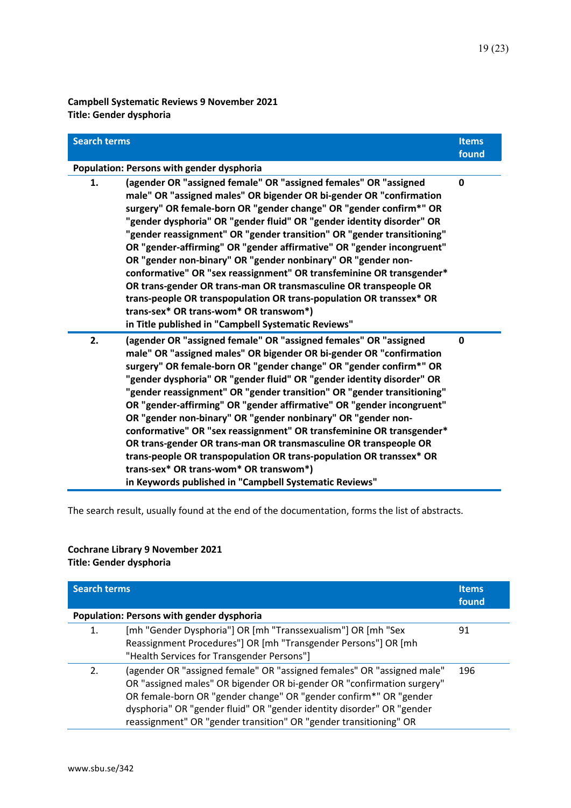**Campbell Systematic Reviews 9 November 2021 Title: Gender dysphoria**

| <b>Search terms</b> |                                                                                                                                                                                                                                                                                                                                                                                                                                                                                                                                                                                                                                                                                                                                                                                                                                  | <b>Items</b><br>found |
|---------------------|----------------------------------------------------------------------------------------------------------------------------------------------------------------------------------------------------------------------------------------------------------------------------------------------------------------------------------------------------------------------------------------------------------------------------------------------------------------------------------------------------------------------------------------------------------------------------------------------------------------------------------------------------------------------------------------------------------------------------------------------------------------------------------------------------------------------------------|-----------------------|
|                     | Population: Persons with gender dysphoria                                                                                                                                                                                                                                                                                                                                                                                                                                                                                                                                                                                                                                                                                                                                                                                        |                       |
| 1.                  | (agender OR "assigned female" OR "assigned females" OR "assigned<br>male" OR "assigned males" OR bigender OR bi-gender OR "confirmation<br>surgery" OR female-born OR "gender change" OR "gender confirm*" OR<br>"gender dysphoria" OR "gender fluid" OR "gender identity disorder" OR<br>"gender reassignment" OR "gender transition" OR "gender transitioning"<br>OR "gender-affirming" OR "gender affirmative" OR "gender incongruent"<br>OR "gender non-binary" OR "gender nonbinary" OR "gender non-<br>conformative" OR "sex reassignment" OR transfeminine OR transgender*<br>OR trans-gender OR trans-man OR transmasculine OR transpeople OR<br>trans-people OR transpopulation OR trans-population OR transsex* OR<br>trans-sex* OR trans-wom* OR transwom*)<br>in Title published in "Campbell Systematic Reviews"    | $\mathbf{0}$          |
| 2.                  | (agender OR "assigned female" OR "assigned females" OR "assigned<br>male" OR "assigned males" OR bigender OR bi-gender OR "confirmation<br>surgery" OR female-born OR "gender change" OR "gender confirm*" OR<br>"gender dysphoria" OR "gender fluid" OR "gender identity disorder" OR<br>"gender reassignment" OR "gender transition" OR "gender transitioning"<br>OR "gender-affirming" OR "gender affirmative" OR "gender incongruent"<br>OR "gender non-binary" OR "gender nonbinary" OR "gender non-<br>conformative" OR "sex reassignment" OR transfeminine OR transgender*<br>OR trans-gender OR trans-man OR transmasculine OR transpeople OR<br>trans-people OR transpopulation OR trans-population OR transsex* OR<br>trans-sex* OR trans-wom* OR transwom*)<br>in Keywords published in "Campbell Systematic Reviews" | $\mathbf{0}$          |

The search result, usually found at the end of the documentation, forms the list of abstracts.

## **Cochrane Library 9 November 2021**

**Title: Gender dysphoria**

| <b>Search terms</b> |                                                                                                                                                                                                                                                                                                                                                                     | <b>Items</b><br>found |
|---------------------|---------------------------------------------------------------------------------------------------------------------------------------------------------------------------------------------------------------------------------------------------------------------------------------------------------------------------------------------------------------------|-----------------------|
|                     | Population: Persons with gender dysphoria                                                                                                                                                                                                                                                                                                                           |                       |
| 1.                  | [mh "Gender Dysphoria"] OR [mh "Transsexualism"] OR [mh "Sex<br>Reassignment Procedures"] OR [mh "Transgender Persons"] OR [mh<br>"Health Services for Transgender Persons"]                                                                                                                                                                                        | 91                    |
| 2.                  | (agender OR "assigned female" OR "assigned females" OR "assigned male"<br>OR "assigned males" OR bigender OR bi-gender OR "confirmation surgery"<br>OR female-born OR "gender change" OR "gender confirm*" OR "gender<br>dysphoria" OR "gender fluid" OR "gender identity disorder" OR "gender<br>reassignment" OR "gender transition" OR "gender transitioning" OR | 196                   |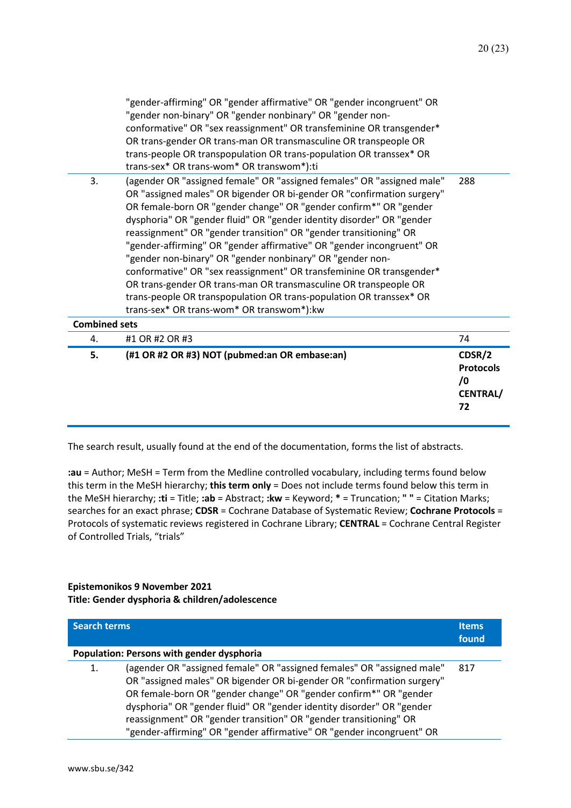**72**

| 5.                   | (#1 OR #2 OR #3) NOT (pubmed:an OR embase:an)                                                                                                                                                                                                                                                                                                                                                                                                                                                                                                                                                                                                                                                                                                                                                                          | CDSR/2<br><b>Protocols</b><br>$\sqrt{0}$<br><b>CENTRAL/</b> |
|----------------------|------------------------------------------------------------------------------------------------------------------------------------------------------------------------------------------------------------------------------------------------------------------------------------------------------------------------------------------------------------------------------------------------------------------------------------------------------------------------------------------------------------------------------------------------------------------------------------------------------------------------------------------------------------------------------------------------------------------------------------------------------------------------------------------------------------------------|-------------------------------------------------------------|
| 4.                   | #1 OR #2 OR #3                                                                                                                                                                                                                                                                                                                                                                                                                                                                                                                                                                                                                                                                                                                                                                                                         | 74                                                          |
| <b>Combined sets</b> |                                                                                                                                                                                                                                                                                                                                                                                                                                                                                                                                                                                                                                                                                                                                                                                                                        |                                                             |
| 3.                   | trans-sex* OR trans-wom* OR transwom*):ti<br>(agender OR "assigned female" OR "assigned females" OR "assigned male"<br>OR "assigned males" OR bigender OR bi-gender OR "confirmation surgery"<br>OR female-born OR "gender change" OR "gender confirm*" OR "gender<br>dysphoria" OR "gender fluid" OR "gender identity disorder" OR "gender<br>reassignment" OR "gender transition" OR "gender transitioning" OR<br>"gender-affirming" OR "gender affirmative" OR "gender incongruent" OR<br>"gender non-binary" OR "gender nonbinary" OR "gender non-<br>conformative" OR "sex reassignment" OR transfeminine OR transgender*<br>OR trans-gender OR trans-man OR transmasculine OR transpeople OR<br>trans-people OR transpopulation OR trans-population OR transsex* OR<br>trans-sex* OR trans-wom* OR transwom*):kw | 288                                                         |
|                      | "gender-affirming" OR "gender affirmative" OR "gender incongruent" OR<br>"gender non-binary" OR "gender nonbinary" OR "gender non-<br>conformative" OR "sex reassignment" OR transfeminine OR transgender*<br>OR trans-gender OR trans-man OR transmasculine OR transpeople OR<br>trans-people OR transpopulation OR trans-population OR transsex* OR                                                                                                                                                                                                                                                                                                                                                                                                                                                                  |                                                             |

The search result, usually found at the end of the documentation, forms the list of abstracts.

**:au** = Author; MeSH = Term from the Medline controlled vocabulary, including terms found below this term in the MeSH hierarchy; **this term only** = Does not include terms found below this term in the MeSH hierarchy; **:ti** = Title; **:ab** = Abstract; **:kw** = Keyword; **\*** = Truncation; **" "** = Citation Marks; searches for an exact phrase; **CDSR** = Cochrane Database of Systematic Review; **Cochrane Protocols** = Protocols of systematic reviews registered in Cochrane Library; **CENTRAL** = Cochrane Central Register of Controlled Trials, "trials"

#### **Epistemonikos 9 November 2021 Title: Gender dysphoria & children/adolescence**

| <b>Search terms</b> |                                                                                                                                                                                                                                                                                                                                                                                                                                              | <b>Items</b><br>found |
|---------------------|----------------------------------------------------------------------------------------------------------------------------------------------------------------------------------------------------------------------------------------------------------------------------------------------------------------------------------------------------------------------------------------------------------------------------------------------|-----------------------|
|                     | Population: Persons with gender dysphoria                                                                                                                                                                                                                                                                                                                                                                                                    |                       |
| 1.                  | (agender OR "assigned female" OR "assigned females" OR "assigned male"<br>OR "assigned males" OR bigender OR bi-gender OR "confirmation surgery"<br>OR female-born OR "gender change" OR "gender confirm*" OR "gender<br>dysphoria" OR "gender fluid" OR "gender identity disorder" OR "gender<br>reassignment" OR "gender transition" OR "gender transitioning" OR<br>"gender-affirming" OR "gender affirmative" OR "gender incongruent" OR | 817                   |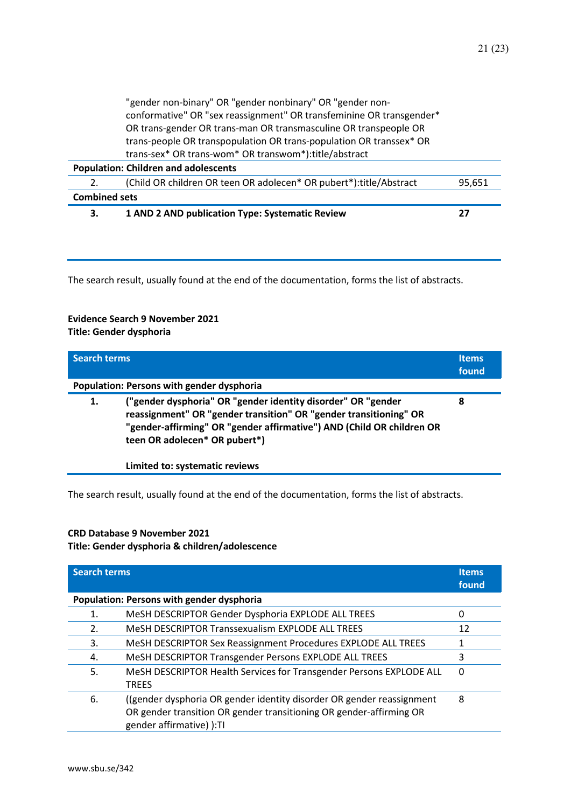|                                             | "gender non-binary" OR "gender nonbinary" OR "gender non-<br>conformative" OR "sex reassignment" OR transfeminine OR transgender*<br>OR trans-gender OR trans-man OR transmasculine OR transpeople OR<br>trans-people OR transpopulation OR trans-population OR transsex* OR<br>trans-sex* OR trans-wom* OR transwom*):title/abstract |        |
|---------------------------------------------|---------------------------------------------------------------------------------------------------------------------------------------------------------------------------------------------------------------------------------------------------------------------------------------------------------------------------------------|--------|
|                                             |                                                                                                                                                                                                                                                                                                                                       |        |
| <b>Population: Children and adolescents</b> |                                                                                                                                                                                                                                                                                                                                       |        |
|                                             | (Child OR children OR teen OR adolecen* OR pubert*):title/Abstract                                                                                                                                                                                                                                                                    | 95,651 |
| <b>Combined sets</b>                        |                                                                                                                                                                                                                                                                                                                                       |        |
| 3.                                          | 1 AND 2 AND publication Type: Systematic Review                                                                                                                                                                                                                                                                                       | 27     |

#### **Evidence Search 9 November 2021 Title: Gender dysphoria**

| <b>Search terms</b> |                                                                                                                                                                                                                                              | <b>Items</b><br>found |
|---------------------|----------------------------------------------------------------------------------------------------------------------------------------------------------------------------------------------------------------------------------------------|-----------------------|
|                     | Population: Persons with gender dysphoria                                                                                                                                                                                                    |                       |
| 1.                  | ("gender dysphoria" OR "gender identity disorder" OR "gender"<br>reassignment" OR "gender transition" OR "gender transitioning" OR<br>"gender-affirming" OR "gender affirmative") AND (Child OR children OR<br>teen OR adolecen* OR pubert*) | 8                     |
|                     | Limited to: systematic reviews                                                                                                                                                                                                               |                       |

The search result, usually found at the end of the documentation, forms the list of abstracts.

#### **CRD Database 9 November 2021**

#### **Title: Gender dysphoria & children/adolescence**

| <b>Search terms</b> |                                                                                                                                                                           | Items.<br>found |
|---------------------|---------------------------------------------------------------------------------------------------------------------------------------------------------------------------|-----------------|
|                     | Population: Persons with gender dysphoria                                                                                                                                 |                 |
| 1.                  | MeSH DESCRIPTOR Gender Dysphoria EXPLODE ALL TREES                                                                                                                        | 0               |
| 2.                  | MeSH DESCRIPTOR Transsexualism EXPLODE ALL TREES                                                                                                                          | 12              |
| 3.                  | MeSH DESCRIPTOR Sex Reassignment Procedures EXPLODE ALL TREES                                                                                                             |                 |
| 4.                  | MeSH DESCRIPTOR Transgender Persons EXPLODE ALL TREES                                                                                                                     | 3               |
| 5.                  | MeSH DESCRIPTOR Health Services for Transgender Persons EXPLODE ALL<br><b>TREES</b>                                                                                       | $\Omega$        |
| 6.                  | ((gender dysphoria OR gender identity disorder OR gender reassignment<br>OR gender transition OR gender transitioning OR gender-affirming OR<br>gender affirmative) ): TI | 8               |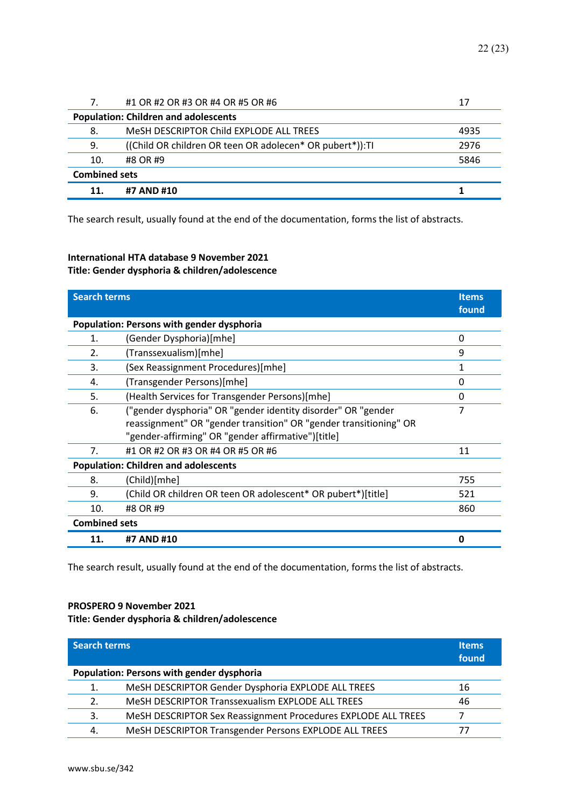| 7.                   | #1 OR #2 OR #3 OR #4 OR #5 OR #6                          | 17   |
|----------------------|-----------------------------------------------------------|------|
|                      | <b>Population: Children and adolescents</b>               |      |
| 8.                   | MeSH DESCRIPTOR Child EXPLODE ALL TREES                   | 4935 |
| 9.                   | ((Child OR children OR teen OR adolecen* OR pubert*)): TI | 2976 |
| 10.                  | #8 OR #9                                                  | 5846 |
| <b>Combined sets</b> |                                                           |      |
| 11                   | #7 AND #10                                                |      |

### **International HTA database 9 November 2021 Title: Gender dysphoria & children/adolescence**

| <b>Search terms</b>  |                                                                   | <b>Items</b><br>found |
|----------------------|-------------------------------------------------------------------|-----------------------|
|                      | Population: Persons with gender dysphoria                         |                       |
| 1.                   | (Gender Dysphoria)[mhe]                                           | 0                     |
| 2.                   | (Transsexualism)[mhe]                                             | 9                     |
| 3.                   | (Sex Reassignment Procedures)[mhe]                                | 1                     |
| 4.                   | (Transgender Persons)[mhe]                                        | 0                     |
| 5.                   | (Health Services for Transgender Persons)[mhe]                    | 0                     |
| 6.                   | ("gender dysphoria" OR "gender identity disorder" OR "gender      | 7                     |
|                      | reassignment" OR "gender transition" OR "gender transitioning" OR |                       |
|                      | "gender-affirming" OR "gender affirmative")[title]                |                       |
| 7.                   | #1 OR #2 OR #3 OR #4 OR #5 OR #6                                  | 11                    |
|                      | <b>Population: Children and adolescents</b>                       |                       |
| 8.                   | (Child)[mhe]                                                      | 755                   |
| 9.                   | (Child OR children OR teen OR adolescent* OR pubert*)[title]      | 521                   |
| 10.                  | #8 OR #9                                                          | 860                   |
| <b>Combined sets</b> |                                                                   |                       |
| 11.                  | #7 AND #10                                                        | O                     |

The search result, usually found at the end of the documentation, forms the list of abstracts.

#### **PROSPERO 9 November 2021**

**Title: Gender dysphoria & children/adolescence**

| <b>Search terms</b> |                                                               | <b>Items</b><br>found |
|---------------------|---------------------------------------------------------------|-----------------------|
|                     | Population: Persons with gender dysphoria                     |                       |
| 1.                  | MeSH DESCRIPTOR Gender Dysphoria EXPLODE ALL TREES            | 16                    |
| 2.                  | MeSH DESCRIPTOR Transsexualism EXPLODE ALL TREES              | 46                    |
| 3.                  | MeSH DESCRIPTOR Sex Reassignment Procedures EXPLODE ALL TREES |                       |
| 4.                  | MeSH DESCRIPTOR Transgender Persons EXPLODE ALL TREES         | 77                    |